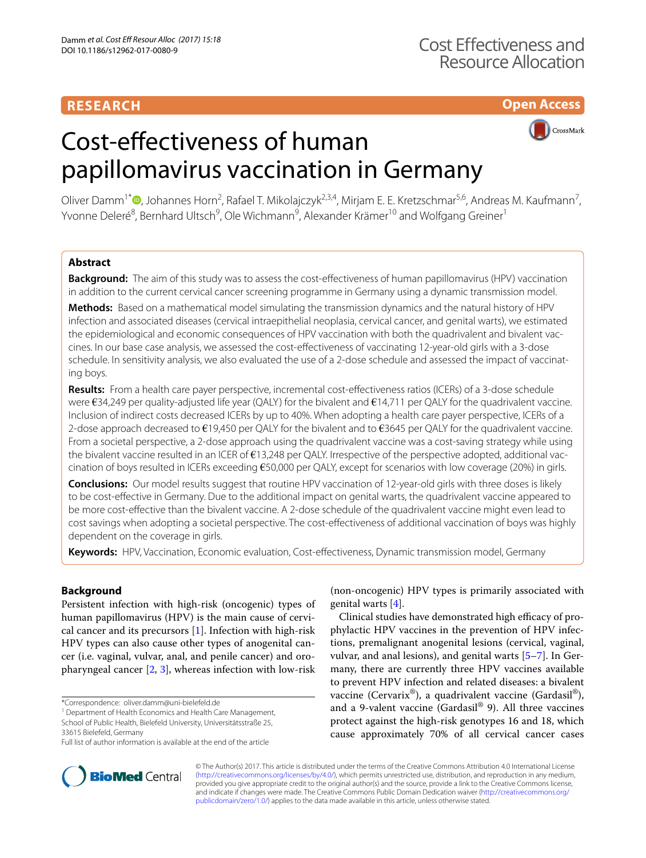# **RESEARCH**

**Open Access**



# Cost-efectiveness of human papillomavirus vaccination in Germany

Oliver Damm<sup>1\*</sup><sup>®</sup>[,](http://orcid.org/0000-0003-0261-3655) Johannes Horn<sup>2</sup>, Rafael T. Mikolajczyk<sup>2,3,4</sup>, Mirjam E. E. Kretzschmar<sup>5,6</sup>, Andreas M. Kaufmann<sup>7</sup>, Yvonne Deleré<sup>8</sup>, Bernhard Ultsch<sup>9</sup>, Ole Wichmann<sup>9</sup>, Alexander Krämer<sup>10</sup> and Wolfgang Greiner<sup>1</sup>

# **Abstract**

**Background:** The aim of this study was to assess the cost-efectiveness of human papillomavirus (HPV) vaccination in addition to the current cervical cancer screening programme in Germany using a dynamic transmission model.

**Methods:** Based on a mathematical model simulating the transmission dynamics and the natural history of HPV infection and associated diseases (cervical intraepithelial neoplasia, cervical cancer, and genital warts), we estimated the epidemiological and economic consequences of HPV vaccination with both the quadrivalent and bivalent vaccines. In our base case analysis, we assessed the cost-efectiveness of vaccinating 12-year-old girls with a 3-dose schedule. In sensitivity analysis, we also evaluated the use of a 2-dose schedule and assessed the impact of vaccinating boys.

**Results:** From a health care payer perspective, incremental cost-efectiveness ratios (ICERs) of a 3-dose schedule were €34,249 per quality-adjusted life year (QALY) for the bivalent and €14,711 per QALY for the quadrivalent vaccine. Inclusion of indirect costs decreased ICERs by up to 40%. When adopting a health care payer perspective, ICERs of a 2-dose approach decreased to  $\epsilon$ 19,450 per QALY for the bivalent and to  $\epsilon$ 3645 per QALY for the quadrivalent vaccine. From a societal perspective, a 2-dose approach using the quadrivalent vaccine was a cost-saving strategy while using the bivalent vaccine resulted in an ICER of €13,248 per QALY. Irrespective of the perspective adopted, additional vaccination of boys resulted in ICERs exceeding €50,000 per QALY, except for scenarios with low coverage (20%) in girls.

**Conclusions:** Our model results suggest that routine HPV vaccination of 12-year-old girls with three doses is likely to be cost-efective in Germany. Due to the additional impact on genital warts, the quadrivalent vaccine appeared to be more cost-efective than the bivalent vaccine. A 2-dose schedule of the quadrivalent vaccine might even lead to cost savings when adopting a societal perspective. The cost-efectiveness of additional vaccination of boys was highly dependent on the coverage in girls.

**Keywords:** HPV, Vaccination, Economic evaluation, Cost-efectiveness, Dynamic transmission model, Germany

# **Background**

Persistent infection with high-risk (oncogenic) types of human papillomavirus (HPV) is the main cause of cervical cancer and its precursors  $[1]$ . Infection with high-risk HPV types can also cause other types of anogenital cancer (i.e. vaginal, vulvar, anal, and penile cancer) and oropharyngeal cancer [[2,](#page-16-1) [3\]](#page-16-2), whereas infection with low-risk

\*Correspondence: oliver.damm@uni-bielefeld.de 1

<sup>1</sup> Department of Health Economics and Health Care Management,

School of Public Health, Bielefeld University, Universitätsstraße 25,

(non-oncogenic) HPV types is primarily associated with genital warts [[4\]](#page-16-3).

Clinical studies have demonstrated high efficacy of prophylactic HPV vaccines in the prevention of HPV infections, premalignant anogenital lesions (cervical, vaginal, vulvar, and anal lesions), and genital warts [\[5](#page-16-4)[–7](#page-16-5)]. In Germany, there are currently three HPV vaccines available to prevent HPV infection and related diseases: a bivalent vaccine (Cervarix®), a quadrivalent vaccine (Gardasil®), and a 9-valent vaccine (Gardasil® 9). All three vaccines protect against the high-risk genotypes 16 and 18, which cause approximately 70% of all cervical cancer cases



© The Author(s) 2017. This article is distributed under the terms of the Creative Commons Attribution 4.0 International License [\(http://creativecommons.org/licenses/by/4.0/\)](http://creativecommons.org/licenses/by/4.0/), which permits unrestricted use, distribution, and reproduction in any medium, provided you give appropriate credit to the original author(s) and the source, provide a link to the Creative Commons license, and indicate if changes were made. The Creative Commons Public Domain Dedication waiver ([http://creativecommons.org/](http://creativecommons.org/publicdomain/zero/1.0/) [publicdomain/zero/1.0/](http://creativecommons.org/publicdomain/zero/1.0/)) applies to the data made available in this article, unless otherwise stated.

<sup>33615</sup> Bielefeld, Germany

Full list of author information is available at the end of the article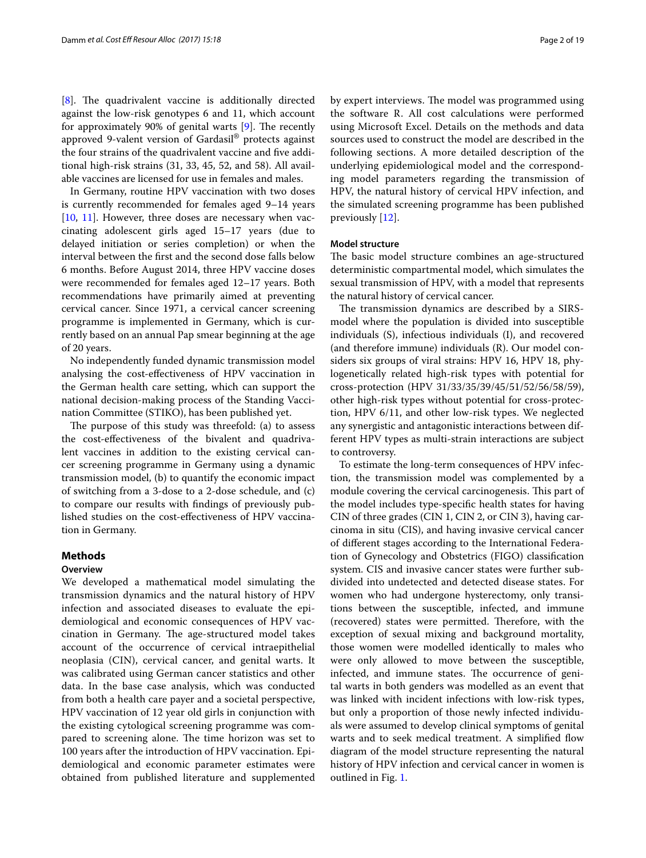$[8]$  $[8]$ . The quadrivalent vaccine is additionally directed against the low-risk genotypes 6 and 11, which account for approximately 90% of genital warts  $[9]$  $[9]$ . The recently approved 9-valent version of Gardasil® protects against the four strains of the quadrivalent vaccine and five additional high-risk strains (31, 33, 45, 52, and 58). All available vaccines are licensed for use in females and males.

In Germany, routine HPV vaccination with two doses is currently recommended for females aged 9–14 years [[10,](#page-16-8) [11](#page-16-9)]. However, three doses are necessary when vaccinating adolescent girls aged 15–17 years (due to delayed initiation or series completion) or when the interval between the frst and the second dose falls below 6 months. Before August 2014, three HPV vaccine doses were recommended for females aged 12–17 years. Both recommendations have primarily aimed at preventing cervical cancer. Since 1971, a cervical cancer screening programme is implemented in Germany, which is currently based on an annual Pap smear beginning at the age of 20 years.

No independently funded dynamic transmission model analysing the cost-efectiveness of HPV vaccination in the German health care setting, which can support the national decision-making process of the Standing Vaccination Committee (STIKO), has been published yet.

The purpose of this study was threefold: (a) to assess the cost-efectiveness of the bivalent and quadrivalent vaccines in addition to the existing cervical cancer screening programme in Germany using a dynamic transmission model, (b) to quantify the economic impact of switching from a 3-dose to a 2-dose schedule, and (c) to compare our results with fndings of previously published studies on the cost-efectiveness of HPV vaccination in Germany.

# **Methods**

## **Overview**

We developed a mathematical model simulating the transmission dynamics and the natural history of HPV infection and associated diseases to evaluate the epidemiological and economic consequences of HPV vaccination in Germany. The age-structured model takes account of the occurrence of cervical intraepithelial neoplasia (CIN), cervical cancer, and genital warts. It was calibrated using German cancer statistics and other data. In the base case analysis, which was conducted from both a health care payer and a societal perspective, HPV vaccination of 12 year old girls in conjunction with the existing cytological screening programme was compared to screening alone. The time horizon was set to 100 years after the introduction of HPV vaccination. Epidemiological and economic parameter estimates were obtained from published literature and supplemented by expert interviews. The model was programmed using the software R. All cost calculations were performed using Microsoft Excel. Details on the methods and data sources used to construct the model are described in the following sections. A more detailed description of the underlying epidemiological model and the corresponding model parameters regarding the transmission of HPV, the natural history of cervical HPV infection, and the simulated screening programme has been published previously [[12\]](#page-16-10).

## **Model structure**

The basic model structure combines an age-structured deterministic compartmental model, which simulates the sexual transmission of HPV, with a model that represents the natural history of cervical cancer.

The transmission dynamics are described by a SIRSmodel where the population is divided into susceptible individuals (S), infectious individuals (I), and recovered (and therefore immune) individuals (R). Our model considers six groups of viral strains: HPV 16, HPV 18, phylogenetically related high-risk types with potential for cross-protection (HPV 31/33/35/39/45/51/52/56/58/59), other high-risk types without potential for cross-protection, HPV 6/11, and other low-risk types. We neglected any synergistic and antagonistic interactions between different HPV types as multi-strain interactions are subject to controversy.

To estimate the long-term consequences of HPV infection, the transmission model was complemented by a module covering the cervical carcinogenesis. This part of the model includes type-specifc health states for having CIN of three grades (CIN 1, CIN 2, or CIN 3), having carcinoma in situ (CIS), and having invasive cervical cancer of diferent stages according to the International Federation of Gynecology and Obstetrics (FIGO) classifcation system. CIS and invasive cancer states were further subdivided into undetected and detected disease states. For women who had undergone hysterectomy, only transitions between the susceptible, infected, and immune (recovered) states were permitted. Therefore, with the exception of sexual mixing and background mortality, those women were modelled identically to males who were only allowed to move between the susceptible, infected, and immune states. The occurrence of genital warts in both genders was modelled as an event that was linked with incident infections with low-risk types, but only a proportion of those newly infected individuals were assumed to develop clinical symptoms of genital warts and to seek medical treatment. A simplified flow diagram of the model structure representing the natural history of HPV infection and cervical cancer in women is outlined in Fig. [1.](#page-2-0)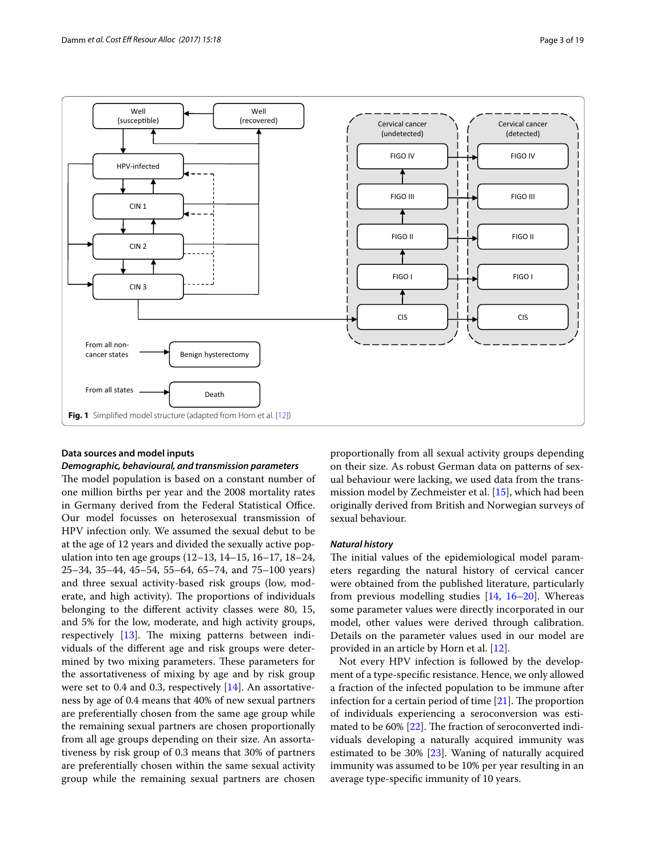

## <span id="page-2-0"></span>**Data sources and model inputs**

## *Demographic, behavioural, and transmission parameters*

The model population is based on a constant number of one million births per year and the 2008 mortality rates in Germany derived from the Federal Statistical Office. Our model focusses on heterosexual transmission of HPV infection only. We assumed the sexual debut to be at the age of 12 years and divided the sexually active population into ten age groups (12–13, 14–15, 16–17, 18–24, 25–34, 35–44, 45–54, 55–64, 65–74, and 75–100 years) and three sexual activity-based risk groups (low, moderate, and high activity). The proportions of individuals belonging to the diferent activity classes were 80, 15, and 5% for the low, moderate, and high activity groups, respectively  $[13]$ . The mixing patterns between individuals of the diferent age and risk groups were determined by two mixing parameters. These parameters for the assortativeness of mixing by age and by risk group were set to 0.4 and 0.3, respectively [[14](#page-16-12)]. An assortativeness by age of 0.4 means that 40% of new sexual partners are preferentially chosen from the same age group while the remaining sexual partners are chosen proportionally from all age groups depending on their size. An assortativeness by risk group of 0.3 means that 30% of partners are preferentially chosen within the same sexual activity group while the remaining sexual partners are chosen

proportionally from all sexual activity groups depending on their size. As robust German data on patterns of sexual behaviour were lacking, we used data from the transmission model by Zechmeister et al. [[15\]](#page-16-13), which had been originally derived from British and Norwegian surveys of sexual behaviour.

#### *Natural history*

The initial values of the epidemiological model parameters regarding the natural history of cervical cancer were obtained from the published literature, particularly from previous modelling studies  $[14, 16-20]$  $[14, 16-20]$  $[14, 16-20]$  $[14, 16-20]$ . Whereas some parameter values were directly incorporated in our model, other values were derived through calibration. Details on the parameter values used in our model are provided in an article by Horn et al. [\[12\]](#page-16-10).

Not every HPV infection is followed by the development of a type-specifc resistance. Hence, we only allowed a fraction of the infected population to be immune after infection for a certain period of time  $[21]$  $[21]$ . The proportion of individuals experiencing a seroconversion was esti-mated to be 60% [[22\]](#page-17-3). The fraction of seroconverted individuals developing a naturally acquired immunity was estimated to be 30% [\[23\]](#page-17-4). Waning of naturally acquired immunity was assumed to be 10% per year resulting in an average type-specifc immunity of 10 years.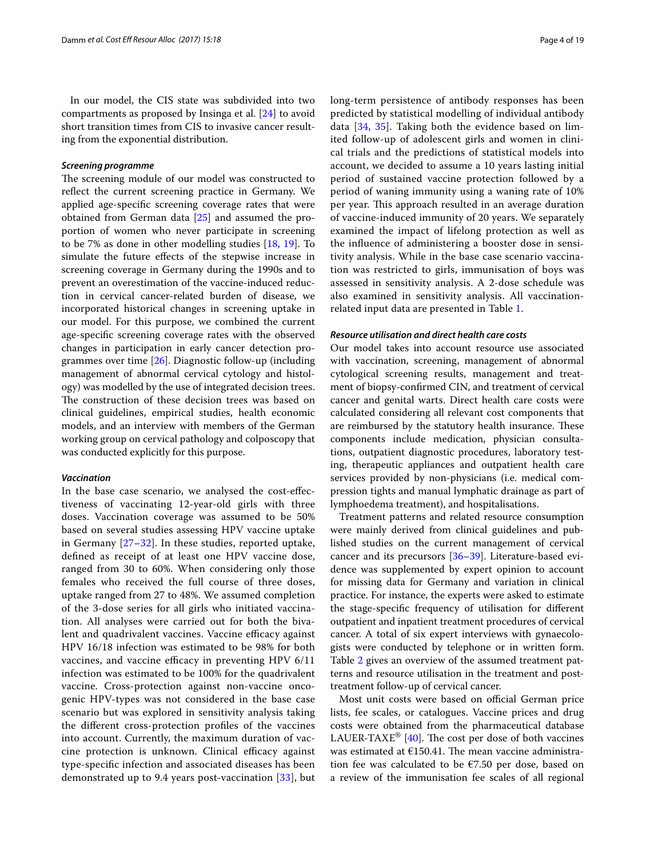In our model, the CIS state was subdivided into two compartments as proposed by Insinga et al. [[24\]](#page-17-5) to avoid short transition times from CIS to invasive cancer resulting from the exponential distribution.

## *Screening programme*

The screening module of our model was constructed to reflect the current screening practice in Germany. We applied age-specifc screening coverage rates that were obtained from German data [[25\]](#page-17-6) and assumed the proportion of women who never participate in screening to be 7% as done in other modelling studies [\[18](#page-17-7), [19](#page-17-8)]. To simulate the future efects of the stepwise increase in screening coverage in Germany during the 1990s and to prevent an overestimation of the vaccine-induced reduction in cervical cancer-related burden of disease, we incorporated historical changes in screening uptake in our model. For this purpose, we combined the current age-specifc screening coverage rates with the observed changes in participation in early cancer detection programmes over time [\[26\]](#page-17-9). Diagnostic follow-up (including management of abnormal cervical cytology and histology) was modelled by the use of integrated decision trees. The construction of these decision trees was based on clinical guidelines, empirical studies, health economic models, and an interview with members of the German working group on cervical pathology and colposcopy that was conducted explicitly for this purpose.

## *Vaccination*

In the base case scenario, we analysed the cost-efectiveness of vaccinating 12-year-old girls with three doses. Vaccination coverage was assumed to be 50% based on several studies assessing HPV vaccine uptake in Germany [[27–](#page-17-10)[32\]](#page-17-11). In these studies, reported uptake, defned as receipt of at least one HPV vaccine dose, ranged from 30 to 60%. When considering only those females who received the full course of three doses, uptake ranged from 27 to 48%. We assumed completion of the 3-dose series for all girls who initiated vaccination. All analyses were carried out for both the bivalent and quadrivalent vaccines. Vaccine efficacy against HPV 16/18 infection was estimated to be 98% for both vaccines, and vaccine efficacy in preventing HPV  $6/11$ infection was estimated to be 100% for the quadrivalent vaccine. Cross-protection against non-vaccine oncogenic HPV-types was not considered in the base case scenario but was explored in sensitivity analysis taking the diferent cross-protection profles of the vaccines into account. Currently, the maximum duration of vaccine protection is unknown. Clinical efficacy against type-specifc infection and associated diseases has been demonstrated up to 9.4 years post-vaccination [[33](#page-17-12)], but long-term persistence of antibody responses has been predicted by statistical modelling of individual antibody data [[34,](#page-17-13) [35\]](#page-17-14). Taking both the evidence based on limited follow-up of adolescent girls and women in clinical trials and the predictions of statistical models into account, we decided to assume a 10 years lasting initial period of sustained vaccine protection followed by a period of waning immunity using a waning rate of 10% per year. This approach resulted in an average duration of vaccine-induced immunity of 20 years. We separately examined the impact of lifelong protection as well as the infuence of administering a booster dose in sensitivity analysis. While in the base case scenario vaccination was restricted to girls, immunisation of boys was assessed in sensitivity analysis. A 2-dose schedule was also examined in sensitivity analysis. All vaccinationrelated input data are presented in Table [1.](#page-4-0)

## *Resource utilisation and direct health care costs*

Our model takes into account resource use associated with vaccination, screening, management of abnormal cytological screening results, management and treatment of biopsy-confrmed CIN, and treatment of cervical cancer and genital warts. Direct health care costs were calculated considering all relevant cost components that are reimbursed by the statutory health insurance. These components include medication, physician consultations, outpatient diagnostic procedures, laboratory testing, therapeutic appliances and outpatient health care services provided by non-physicians (i.e. medical compression tights and manual lymphatic drainage as part of lymphoedema treatment), and hospitalisations.

Treatment patterns and related resource consumption were mainly derived from clinical guidelines and published studies on the current management of cervical cancer and its precursors [\[36](#page-17-15)[–39](#page-17-16)]. Literature-based evidence was supplemented by expert opinion to account for missing data for Germany and variation in clinical practice. For instance, the experts were asked to estimate the stage-specifc frequency of utilisation for diferent outpatient and inpatient treatment procedures of cervical cancer. A total of six expert interviews with gynaecologists were conducted by telephone or in written form. Table [2](#page-5-0) gives an overview of the assumed treatment patterns and resource utilisation in the treatment and posttreatment follow-up of cervical cancer.

Most unit costs were based on official German price lists, fee scales, or catalogues. Vaccine prices and drug costs were obtained from the pharmaceutical database LAUER-TAXE<sup>®</sup> [[40\]](#page-17-17). The cost per dose of both vaccines was estimated at  $£150.41$ . The mean vaccine administration fee was calculated to be €7.50 per dose, based on a review of the immunisation fee scales of all regional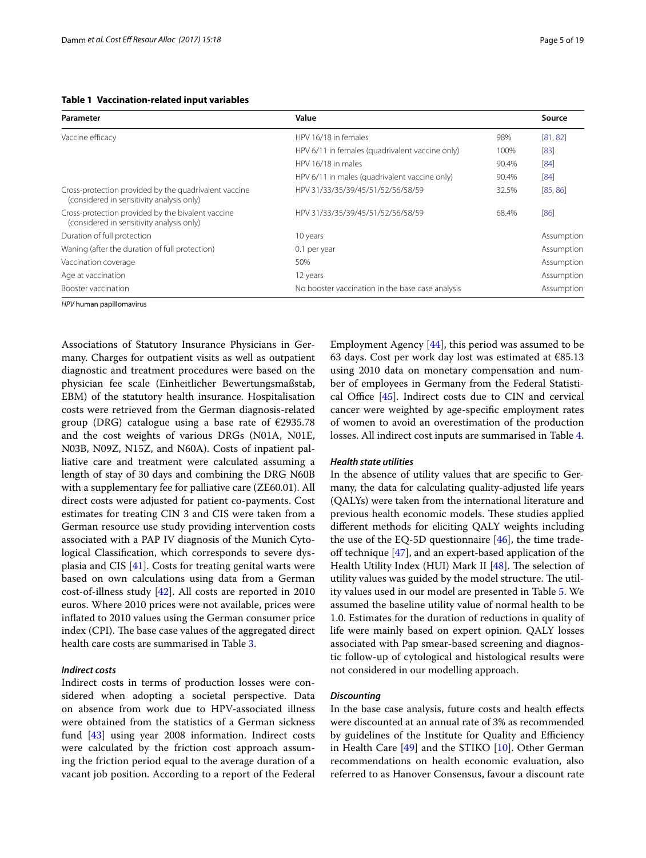| Page 5 of |  |
|-----------|--|
|           |  |

<span id="page-4-0"></span>

| Parameter                                                                                          | Value                                            |       | Source     |
|----------------------------------------------------------------------------------------------------|--------------------------------------------------|-------|------------|
| Vaccine efficacy                                                                                   | HPV 16/18 in females                             | 98%   | [81, 82]   |
|                                                                                                    | HPV 6/11 in females (quadrivalent vaccine only)  | 100%  | [83]       |
|                                                                                                    | HPV 16/18 in males                               | 90.4% | [84]       |
|                                                                                                    | HPV 6/11 in males (quadrivalent vaccine only)    | 90.4% | [84]       |
| Cross-protection provided by the quadrivalent vaccine<br>(considered in sensitivity analysis only) | HPV 31/33/35/39/45/51/52/56/58/59                | 32.5% | [85, 86]   |
| Cross-protection provided by the bivalent vaccine<br>(considered in sensitivity analysis only)     | HPV 31/33/35/39/45/51/52/56/58/59                | 68.4% | [86]       |
| Duration of full protection                                                                        | 10 years                                         |       | Assumption |
| Waning (after the duration of full protection)                                                     | 0.1 per year                                     |       | Assumption |
| Vaccination coverage                                                                               | 50%                                              |       | Assumption |
| Age at vaccination                                                                                 | 12 years                                         |       | Assumption |
| Booster vaccination                                                                                | No booster vaccination in the base case analysis |       | Assumption |

*HPV* human papillomavirus

Associations of Statutory Insurance Physicians in Germany. Charges for outpatient visits as well as outpatient diagnostic and treatment procedures were based on the physician fee scale (Einheitlicher Bewertungsmaßstab, EBM) of the statutory health insurance. Hospitalisation costs were retrieved from the German diagnosis-related group (DRG) catalogue using a base rate of  $\epsilon$ 2935.78 and the cost weights of various DRGs (N01A, N01E, N03B, N09Z, N15Z, and N60A). Costs of inpatient palliative care and treatment were calculated assuming a length of stay of 30 days and combining the DRG N60B with a supplementary fee for palliative care (ZE60.01). All direct costs were adjusted for patient co-payments. Cost estimates for treating CIN 3 and CIS were taken from a German resource use study providing intervention costs associated with a PAP IV diagnosis of the Munich Cytological Classifcation, which corresponds to severe dysplasia and CIS [\[41](#page-17-18)]. Costs for treating genital warts were based on own calculations using data from a German cost-of-illness study [[42\]](#page-17-19). All costs are reported in 2010 euros. Where 2010 prices were not available, prices were infated to 2010 values using the German consumer price index (CPI). The base case values of the aggregated direct health care costs are summarised in Table [3](#page-6-0).

## *Indirect costs*

Indirect costs in terms of production losses were considered when adopting a societal perspective. Data on absence from work due to HPV-associated illness were obtained from the statistics of a German sickness fund [\[43\]](#page-17-20) using year 2008 information. Indirect costs were calculated by the friction cost approach assuming the friction period equal to the average duration of a vacant job position. According to a report of the Federal Employment Agency [\[44](#page-17-21)], this period was assumed to be 63 days. Cost per work day lost was estimated at  $€85.13$ using 2010 data on monetary compensation and number of employees in Germany from the Federal Statistical Office  $[45]$  $[45]$  $[45]$ . Indirect costs due to CIN and cervical cancer were weighted by age-specifc employment rates of women to avoid an overestimation of the production losses. All indirect cost inputs are summarised in Table [4](#page-8-0).

## *Health state utilities*

In the absence of utility values that are specifc to Germany, the data for calculating quality-adjusted life years (QALYs) were taken from the international literature and previous health economic models. These studies applied diferent methods for eliciting QALY weights including the use of the EQ-5D questionnaire  $[46]$  $[46]$ , the time tradeoff technique  $[47]$  $[47]$ , and an expert-based application of the Health Utility Index (HUI) Mark II [[48\]](#page-17-25). The selection of utility values was guided by the model structure. The utility values used in our model are presented in Table [5](#page-9-0). We assumed the baseline utility value of normal health to be 1.0. Estimates for the duration of reductions in quality of life were mainly based on expert opinion. QALY losses associated with Pap smear-based screening and diagnostic follow-up of cytological and histological results were not considered in our modelling approach.

## *Discounting*

In the base case analysis, future costs and health efects were discounted at an annual rate of 3% as recommended by guidelines of the Institute for Quality and Efficiency in Health Care [[49](#page-17-26)] and the STIKO [[10](#page-16-8)]. Other German recommendations on health economic evaluation, also referred to as Hanover Consensus, favour a discount rate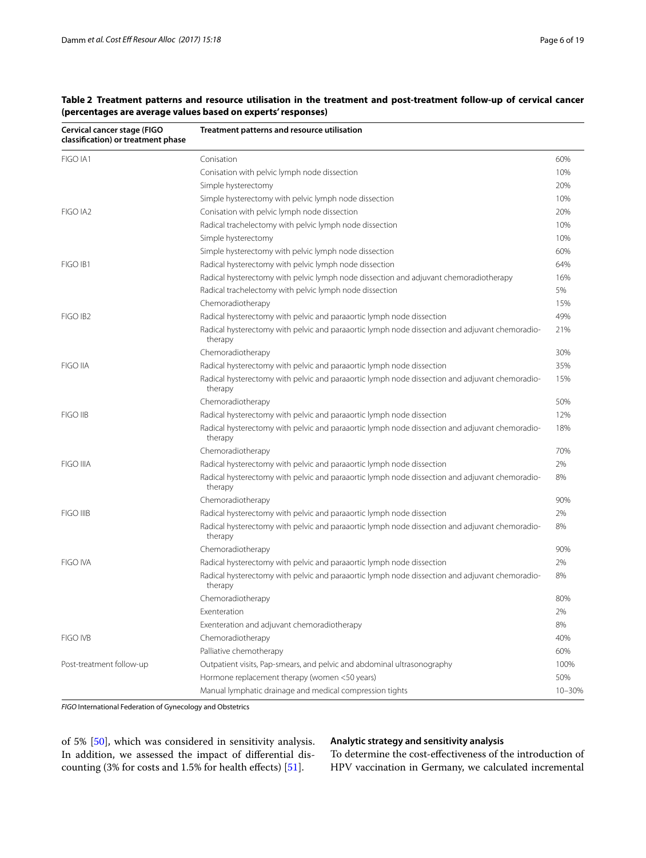| Cervical cancer stage (FIGO<br>classification) or treatment phase | Treatment patterns and resource utilisation                                                               |        |
|-------------------------------------------------------------------|-----------------------------------------------------------------------------------------------------------|--------|
| FIGO IA1                                                          | Conisation                                                                                                | 60%    |
|                                                                   | Conisation with pelvic lymph node dissection                                                              | 10%    |
|                                                                   | Simple hysterectomy                                                                                       | 20%    |
|                                                                   | Simple hysterectomy with pelvic lymph node dissection                                                     | 10%    |
| FIGO IA2                                                          | Conisation with pelvic lymph node dissection                                                              | 20%    |
|                                                                   | Radical trachelectomy with pelvic lymph node dissection                                                   | 10%    |
|                                                                   | Simple hysterectomy                                                                                       | 10%    |
|                                                                   | Simple hysterectomy with pelvic lymph node dissection                                                     | 60%    |
| FIGO IB1                                                          | Radical hysterectomy with pelvic lymph node dissection                                                    | 64%    |
|                                                                   | Radical hysterectomy with pelvic lymph node dissection and adjuvant chemoradiotherapy                     | 16%    |
|                                                                   | Radical trachelectomy with pelvic lymph node dissection                                                   | 5%     |
|                                                                   | Chemoradiotherapy                                                                                         | 15%    |
| FIGO IB <sub>2</sub>                                              | Radical hysterectomy with pelvic and paraaortic lymph node dissection                                     | 49%    |
|                                                                   | Radical hysterectomy with pelvic and paraaortic lymph node dissection and adjuvant chemoradio-<br>therapy | 21%    |
|                                                                   | Chemoradiotherapy                                                                                         | 30%    |
| <b>FIGO IIA</b>                                                   | Radical hysterectomy with pelvic and paraaortic lymph node dissection                                     | 35%    |
|                                                                   | Radical hysterectomy with pelvic and paraaortic lymph node dissection and adjuvant chemoradio-<br>therapy | 15%    |
|                                                                   | Chemoradiotherapy                                                                                         | 50%    |
| FIGO IIB                                                          | Radical hysterectomy with pelvic and paraaortic lymph node dissection                                     | 12%    |
|                                                                   | Radical hysterectomy with pelvic and paraaortic lymph node dissection and adjuvant chemoradio-<br>therapy | 18%    |
|                                                                   | Chemoradiotherapy                                                                                         | 70%    |
| <b>FIGO IIIA</b>                                                  | Radical hysterectomy with pelvic and paraaortic lymph node dissection                                     | 2%     |
|                                                                   | Radical hysterectomy with pelvic and paraaortic lymph node dissection and adjuvant chemoradio-<br>therapy | 8%     |
|                                                                   | Chemoradiotherapy                                                                                         | 90%    |
| <b>FIGO IIIB</b>                                                  | Radical hysterectomy with pelvic and paraaortic lymph node dissection                                     | 2%     |
|                                                                   | Radical hysterectomy with pelvic and paraaortic lymph node dissection and adjuvant chemoradio-<br>therapy | 8%     |
|                                                                   | Chemoradiotherapy                                                                                         | 90%    |
| <b>FIGO IVA</b>                                                   | Radical hysterectomy with pelvic and paraaortic lymph node dissection                                     | 2%     |
|                                                                   | Radical hysterectomy with pelvic and paraaortic lymph node dissection and adjuvant chemoradio-<br>therapy | 8%     |
|                                                                   | Chemoradiotherapy                                                                                         | 80%    |
|                                                                   | Exenteration                                                                                              | 2%     |
|                                                                   | Exenteration and adjuvant chemoradiotherapy                                                               | 8%     |
| FIGO IVB                                                          | Chemoradiotherapy                                                                                         | 40%    |
|                                                                   | Palliative chemotherapy                                                                                   | 60%    |
| Post-treatment follow-up                                          | Outpatient visits, Pap-smears, and pelvic and abdominal ultrasonography                                   | 100%   |
|                                                                   | Hormone replacement therapy (women <50 years)                                                             | 50%    |
|                                                                   | Manual lymphatic drainage and medical compression tights                                                  | 10-30% |

<span id="page-5-0"></span>**Table 2 Treatment patterns and resource utilisation in the treatment and post-treatment follow-up of cervical cancer (percentages are average values based on experts' responses)**

*FIGO* International Federation of Gynecology and Obstetrics

of 5% [[50](#page-17-27)], which was considered in sensitivity analysis. In addition, we assessed the impact of diferential discounting (3% for costs and 1.5% for health efects) [\[51\]](#page-17-28).

# **Analytic strategy and sensitivity analysis**

To determine the cost-efectiveness of the introduction of HPV vaccination in Germany, we calculated incremental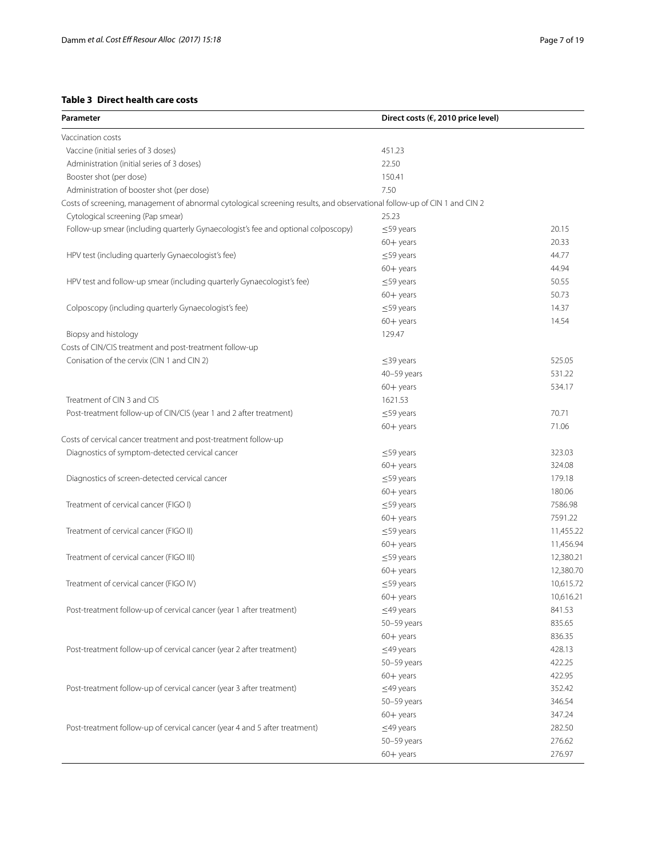# <span id="page-6-0"></span>**Table 3 Direct health care costs**

| Parameter                                                                                                                | Direct costs ( $\epsilon$ , 2010 price level) |           |
|--------------------------------------------------------------------------------------------------------------------------|-----------------------------------------------|-----------|
| Vaccination costs                                                                                                        |                                               |           |
| Vaccine (initial series of 3 doses)                                                                                      | 451.23                                        |           |
| Administration (initial series of 3 doses)                                                                               | 22.50                                         |           |
| Booster shot (per dose)                                                                                                  | 150.41                                        |           |
| Administration of booster shot (per dose)                                                                                | 7.50                                          |           |
| Costs of screening, management of abnormal cytological screening results, and observational follow-up of CIN 1 and CIN 2 |                                               |           |
| Cytological screening (Pap smear)                                                                                        | 25.23                                         |           |
| Follow-up smear (including quarterly Gynaecologist's fee and optional colposcopy)                                        | $\leq$ 59 years                               | 20.15     |
|                                                                                                                          | $60 +$ years                                  | 20.33     |
| HPV test (including quarterly Gynaecologist's fee)                                                                       | $\leq$ 59 years                               | 44.77     |
|                                                                                                                          | $60 +$ years                                  | 44.94     |
| HPV test and follow-up smear (including quarterly Gynaecologist's fee)                                                   | $\leq$ 59 years                               | 50.55     |
|                                                                                                                          | $60 +$ years                                  | 50.73     |
| Colposcopy (including quarterly Gynaecologist's fee)                                                                     | $\leq$ 59 years                               | 14.37     |
|                                                                                                                          | $60 +$ years                                  | 14.54     |
| Biopsy and histology                                                                                                     | 129.47                                        |           |
| Costs of CIN/CIS treatment and post-treatment follow-up                                                                  |                                               |           |
| Conisation of the cervix (CIN 1 and CIN 2)                                                                               | $\leq$ 39 years                               | 525.05    |
|                                                                                                                          | 40-59 years                                   | 531.22    |
|                                                                                                                          | $60 +$ years                                  | 534.17    |
| Treatment of CIN 3 and CIS                                                                                               | 1621.53                                       |           |
| Post-treatment follow-up of CIN/CIS (year 1 and 2 after treatment)                                                       | $\leq$ 59 years                               | 70.71     |
|                                                                                                                          | $60 +$ years                                  | 71.06     |
| Costs of cervical cancer treatment and post-treatment follow-up                                                          |                                               |           |
| Diagnostics of symptom-detected cervical cancer                                                                          | $\leq$ 59 years                               | 323.03    |
|                                                                                                                          | $60 +$ years                                  | 324.08    |
| Diagnostics of screen-detected cervical cancer                                                                           | $\leq$ 59 years                               | 179.18    |
|                                                                                                                          | $60 +$ years                                  | 180.06    |
| Treatment of cervical cancer (FIGO I)                                                                                    | $\leq$ 59 years                               | 7586.98   |
|                                                                                                                          | $60 +$ years                                  | 7591.22   |
| Treatment of cervical cancer (FIGO II)                                                                                   | $\leq$ 59 years                               | 11,455.22 |
|                                                                                                                          | $60 +$ years                                  | 11,456.94 |
| Treatment of cervical cancer (FIGO III)                                                                                  | $\leq$ 59 years                               | 12,380.21 |
|                                                                                                                          | $60 +$ years                                  | 12,380.70 |
| Treatment of cervical cancer (FIGO IV)                                                                                   | $\leq$ 59 years                               | 10,615.72 |
|                                                                                                                          | $60 +$ years                                  | 10,616.21 |
| Post-treatment follow-up of cervical cancer (year 1 after treatment)                                                     | $\leq$ 49 years                               | 841.53    |
|                                                                                                                          | 50-59 years                                   | 835.65    |
|                                                                                                                          | $60 +$ years                                  | 836.35    |
| Post-treatment follow-up of cervical cancer (year 2 after treatment)                                                     | $\leq$ 49 years                               | 428.13    |
|                                                                                                                          | 50-59 years                                   | 422.25    |
|                                                                                                                          | $60 +$ years                                  | 422.95    |
| Post-treatment follow-up of cervical cancer (year 3 after treatment)                                                     | $\leq$ 49 years                               | 352.42    |
|                                                                                                                          | 50-59 years                                   | 346.54    |
|                                                                                                                          | $60 +$ years                                  | 347.24    |
| Post-treatment follow-up of cervical cancer (year 4 and 5 after treatment)                                               | $\leq$ 49 years                               | 282.50    |
|                                                                                                                          | 50-59 years                                   | 276.62    |
|                                                                                                                          | $60 +$ years                                  | 276.97    |
|                                                                                                                          |                                               |           |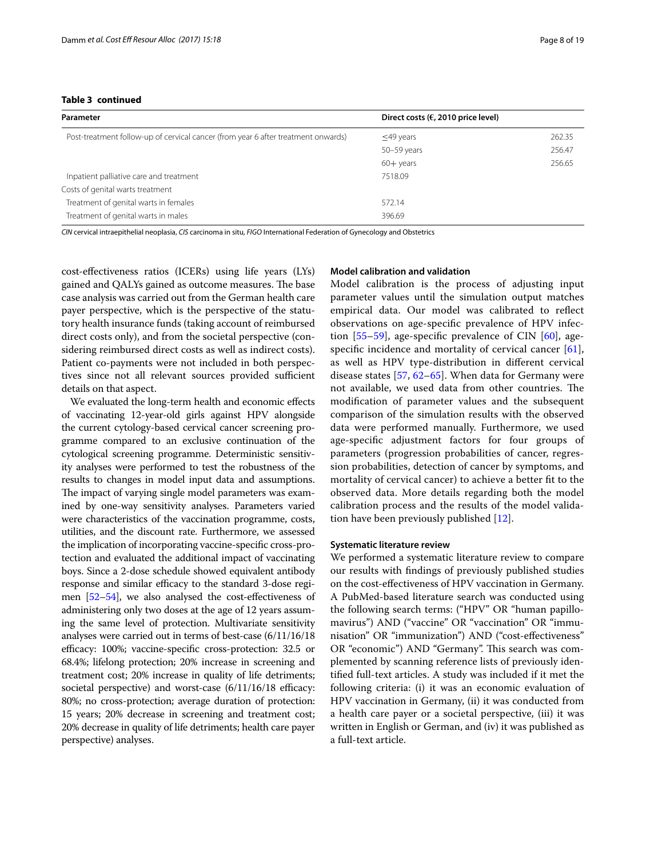## **Table 3 continued**

| Parameter                                                                         | Direct costs ( $\epsilon$ , 2010 price level) |        |
|-----------------------------------------------------------------------------------|-----------------------------------------------|--------|
| Post-treatment follow-up of cervical cancer (from year 6 after treatment onwards) | $\leq$ 49 years                               | 262.35 |
|                                                                                   | 50-59 years                                   | 256.47 |
|                                                                                   | $60 +$ years                                  | 256.65 |
| Inpatient palliative care and treatment                                           | 7518.09                                       |        |
| Costs of genital warts treatment                                                  |                                               |        |
| Treatment of genital warts in females                                             | 572.14                                        |        |
| Treatment of genital warts in males                                               | 396.69                                        |        |

*CIN* cervical intraepithelial neoplasia, *CIS* carcinoma in situ, *FIGO* International Federation of Gynecology and Obstetrics

cost-efectiveness ratios (ICERs) using life years (LYs) gained and QALYs gained as outcome measures. The base case analysis was carried out from the German health care payer perspective, which is the perspective of the statutory health insurance funds (taking account of reimbursed direct costs only), and from the societal perspective (considering reimbursed direct costs as well as indirect costs). Patient co-payments were not included in both perspectives since not all relevant sources provided sufficient details on that aspect.

We evaluated the long-term health and economic efects of vaccinating 12-year-old girls against HPV alongside the current cytology-based cervical cancer screening programme compared to an exclusive continuation of the cytological screening programme. Deterministic sensitivity analyses were performed to test the robustness of the results to changes in model input data and assumptions. The impact of varying single model parameters was examined by one-way sensitivity analyses. Parameters varied were characteristics of the vaccination programme, costs, utilities, and the discount rate. Furthermore, we assessed the implication of incorporating vaccine-specifc cross-protection and evaluated the additional impact of vaccinating boys. Since a 2-dose schedule showed equivalent antibody response and similar efficacy to the standard 3-dose regimen [\[52](#page-17-29)[–54](#page-17-30)], we also analysed the cost-efectiveness of administering only two doses at the age of 12 years assuming the same level of protection. Multivariate sensitivity analyses were carried out in terms of best-case (6/11/16/18 efficacy: 100%; vaccine-specific cross-protection: 32.5 or 68.4%; lifelong protection; 20% increase in screening and treatment cost; 20% increase in quality of life detriments; societal perspective) and worst-case  $(6/11/16/18)$  efficacy: 80%; no cross-protection; average duration of protection: 15 years; 20% decrease in screening and treatment cost; 20% decrease in quality of life detriments; health care payer perspective) analyses.

# **Model calibration and validation**

Model calibration is the process of adjusting input parameter values until the simulation output matches empirical data. Our model was calibrated to refect observations on age-specifc prevalence of HPV infection  $[55-59]$  $[55-59]$  $[55-59]$ , age-specific prevalence of CIN  $[60]$  $[60]$ , age-specific incidence and mortality of cervical cancer [\[61](#page-18-8)], as well as HPV type-distribution in diferent cervical disease states [[57,](#page-18-9) [62–](#page-18-10)[65\]](#page-18-11). When data for Germany were not available, we used data from other countries. The modifcation of parameter values and the subsequent comparison of the simulation results with the observed data were performed manually. Furthermore, we used age-specifc adjustment factors for four groups of parameters (progression probabilities of cancer, regression probabilities, detection of cancer by symptoms, and mortality of cervical cancer) to achieve a better ft to the observed data. More details regarding both the model calibration process and the results of the model validation have been previously published [\[12](#page-16-10)].

#### **Systematic literature review**

We performed a systematic literature review to compare our results with fndings of previously published studies on the cost-efectiveness of HPV vaccination in Germany. A PubMed-based literature search was conducted using the following search terms: ("HPV" OR "human papillomavirus") AND ("vaccine" OR "vaccination" OR "immunisation" OR "immunization") AND ("cost-efectiveness" OR "economic") AND "Germany". This search was complemented by scanning reference lists of previously identifed full-text articles. A study was included if it met the following criteria: (i) it was an economic evaluation of HPV vaccination in Germany, (ii) it was conducted from a health care payer or a societal perspective, (iii) it was written in English or German, and (iv) it was published as a full-text article.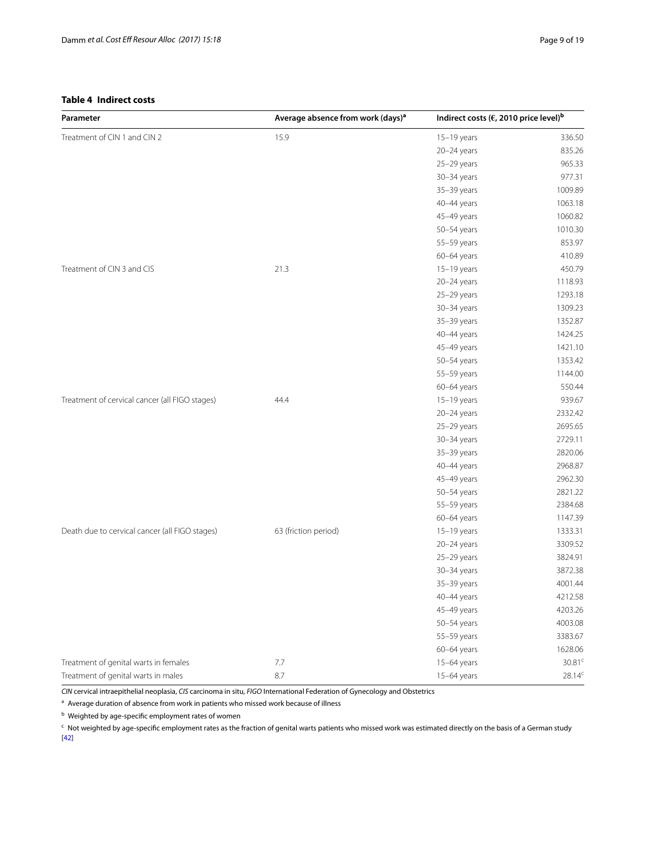<span id="page-8-0"></span>

| Parameter                                      | Average absence from work (days) <sup>a</sup> | Indirect costs ( $\epsilon$ , 2010 price level) <sup>b</sup> |                    |
|------------------------------------------------|-----------------------------------------------|--------------------------------------------------------------|--------------------|
| Treatment of CIN 1 and CIN 2                   | 15.9                                          | 15-19 years                                                  | 336.50             |
|                                                |                                               | 20-24 years                                                  | 835.26             |
|                                                |                                               | 25-29 years                                                  | 965.33             |
|                                                |                                               | 30-34 years                                                  | 977.31             |
|                                                |                                               | 35-39 years                                                  | 1009.89            |
|                                                |                                               | 40-44 years                                                  | 1063.18            |
|                                                |                                               | 45-49 years                                                  | 1060.82            |
|                                                |                                               | 50-54 years                                                  | 1010.30            |
|                                                |                                               | 55-59 years                                                  | 853.97             |
|                                                |                                               | 60-64 years                                                  | 410.89             |
| Treatment of CIN 3 and CIS                     | 21.3                                          | $15-19$ years                                                | 450.79             |
|                                                |                                               | 20-24 years                                                  | 1118.93            |
|                                                |                                               | 25-29 years                                                  | 1293.18            |
|                                                |                                               | 30-34 years                                                  | 1309.23            |
|                                                |                                               | 35-39 years                                                  | 1352.87            |
|                                                |                                               | 40-44 years                                                  | 1424.25            |
|                                                |                                               | 45-49 years                                                  | 1421.10            |
|                                                |                                               | 50-54 years                                                  | 1353.42            |
|                                                |                                               | 55-59 years                                                  | 1144.00            |
|                                                |                                               | 60-64 years                                                  | 550.44             |
| Treatment of cervical cancer (all FIGO stages) | 44.4                                          | $15-19$ years                                                | 939.67             |
|                                                |                                               | $20 - 24$ years                                              | 2332.42            |
|                                                |                                               | 25-29 years                                                  | 2695.65            |
|                                                |                                               | 30-34 years                                                  | 2729.11            |
|                                                |                                               | 35-39 years                                                  | 2820.06            |
|                                                |                                               | 40-44 years                                                  | 2968.87            |
|                                                |                                               | 45-49 years                                                  | 2962.30            |
|                                                |                                               | 50-54 years                                                  | 2821.22            |
|                                                |                                               | 55-59 years                                                  | 2384.68            |
|                                                |                                               | 60-64 years                                                  | 1147.39            |
| Death due to cervical cancer (all FIGO stages) | 63 (friction period)                          | $15-19$ years                                                | 1333.31            |
|                                                |                                               | 20-24 years                                                  | 3309.52            |
|                                                |                                               | 25-29 years                                                  | 3824.91            |
|                                                |                                               | 30-34 years                                                  | 3872.38            |
|                                                |                                               | 35-39 years                                                  | 4001.44            |
|                                                |                                               | 40-44 years                                                  | 4212.58            |
|                                                |                                               | 45-49 years                                                  | 4203.26            |
|                                                |                                               | 50-54 years                                                  | 4003.08            |
|                                                |                                               | 55-59 years                                                  | 3383.67            |
|                                                |                                               | 60-64 years                                                  | 1628.06            |
| Treatment of genital warts in females          | 7.7                                           | 15-64 years                                                  | 30.81 <sup>c</sup> |
| Treatment of genital warts in males            | 8.7                                           | 15-64 years                                                  | $28.14^c$          |

*CIN* cervical intraepithelial neoplasia, *CIS* carcinoma in situ, *FIGO* International Federation of Gynecology and Obstetrics

 $a$  Average duration of absence from work in patients who missed work because of illness

<sup>b</sup> Weighted by age-specifc employment rates of women

 $\cdot$  Not weighted by age-specific employment rates as the fraction of genital warts patients who missed work was estimated directly on the basis of a German study [[42\]](#page-17-19)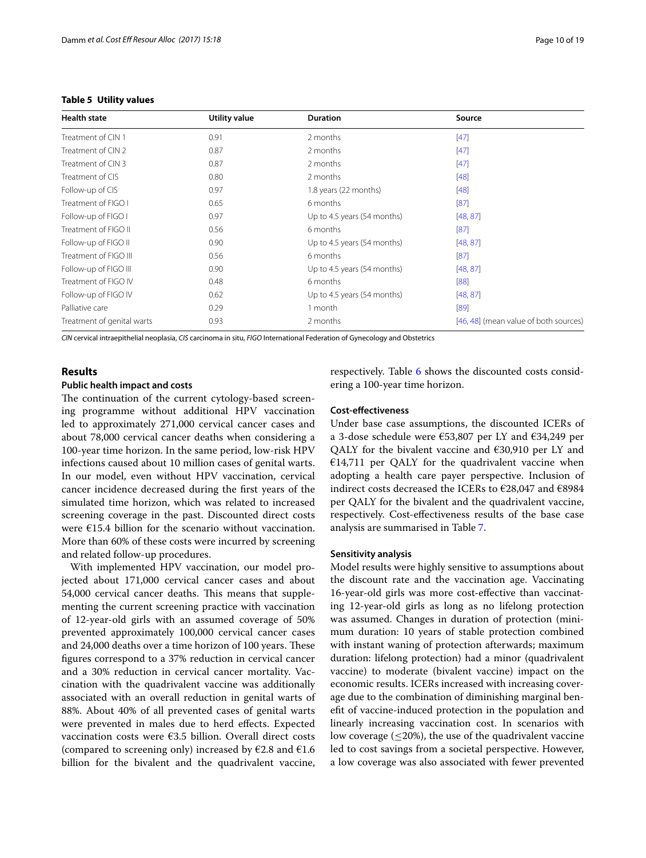| <b>Health state</b>        | <b>Utility value</b> | <b>Duration</b>             | Source                                |
|----------------------------|----------------------|-----------------------------|---------------------------------------|
| Treatment of CIN 1         | 0.91                 | 2 months                    | $[47]$                                |
| Treatment of CIN 2         | 0.87                 | 2 months                    | $[47]$                                |
| Treatment of CIN 3         | 0.87                 | 2 months                    | $[47]$                                |
| Treatment of CIS           | 0.80                 | 2 months                    | $[48]$                                |
| Follow-up of CIS           | 0.97                 | 1.8 years (22 months)       | $[48]$                                |
| Treatment of FIGO I        | 0.65                 | 6 months                    | [87]                                  |
| Follow-up of FIGO I        | 0.97                 | Up to 4.5 years (54 months) | [48, 87]                              |
| Treatment of FIGO II       | 0.56                 | 6 months                    | [87]                                  |
| Follow-up of FIGO II       | 0.90                 | Up to 4.5 years (54 months) | [48, 87]                              |
| Treatment of FIGO III      | 0.56                 | 6 months                    | [87]                                  |
| Follow-up of FIGO III      | 0.90                 | Up to 4.5 years (54 months) | [48, 87]                              |
| Treatment of FIGO IV       | 0.48                 | 6 months                    | [88]                                  |
| Follow-up of FIGO IV       | 0.62                 | Up to 4.5 years (54 months) | [48, 87]                              |
| Palliative care            | 0.29                 | 1 month                     | [89]                                  |
| Treatment of genital warts | 0.93                 | 2 months                    | [46, 48] (mean value of both sources) |

## <span id="page-9-0"></span>**Table 5 Utility values**

*CIN* cervical intraepithelial neoplasia, *CIS* carcinoma in situ, *FIGO* International Federation of Gynecology and Obstetrics

## **Results**

#### **Public health impact and costs**

The continuation of the current cytology-based screening programme without additional HPV vaccination led to approximately 271,000 cervical cancer cases and about 78,000 cervical cancer deaths when considering a 100-year time horizon. In the same period, low-risk HPV infections caused about 10 million cases of genital warts. In our model, even without HPV vaccination, cervical cancer incidence decreased during the frst years of the simulated time horizon, which was related to increased screening coverage in the past. Discounted direct costs were  $E15.4$  billion for the scenario without vaccination. More than 60% of these costs were incurred by screening and related follow-up procedures.

With implemented HPV vaccination, our model projected about 171,000 cervical cancer cases and about 54,000 cervical cancer deaths. This means that supplementing the current screening practice with vaccination of 12-year-old girls with an assumed coverage of 50% prevented approximately 100,000 cervical cancer cases and 24,000 deaths over a time horizon of 100 years. These fgures correspond to a 37% reduction in cervical cancer and a 30% reduction in cervical cancer mortality. Vaccination with the quadrivalent vaccine was additionally associated with an overall reduction in genital warts of 88%. About 40% of all prevented cases of genital warts were prevented in males due to herd efects. Expected vaccination costs were €3.5 billion. Overall direct costs (compared to screening only) increased by  $E2.8$  and  $E1.6$ billion for the bivalent and the quadrivalent vaccine, respectively. Table [6](#page-10-0) shows the discounted costs considering a 100-year time horizon.

#### **Cost‑efectiveness**

Under base case assumptions, the discounted ICERs of a 3-dose schedule were €53,807 per LY and €34,249 per QALY for the bivalent vaccine and €30,910 per LY and  $€14,711$  per OALY for the quadrivalent vaccine when adopting a health care payer perspective. Inclusion of indirect costs decreased the ICERs to €28,047 and €8984 per QALY for the bivalent and the quadrivalent vaccine, respectively. Cost-efectiveness results of the base case analysis are summarised in Table [7](#page-10-1).

#### **Sensitivity analysis**

Model results were highly sensitive to assumptions about the discount rate and the vaccination age. Vaccinating 16-year-old girls was more cost-efective than vaccinating 12-year-old girls as long as no lifelong protection was assumed. Changes in duration of protection (minimum duration: 10 years of stable protection combined with instant waning of protection afterwards; maximum duration: lifelong protection) had a minor (quadrivalent vaccine) to moderate (bivalent vaccine) impact on the economic results. ICERs increased with increasing coverage due to the combination of diminishing marginal beneft of vaccine-induced protection in the population and linearly increasing vaccination cost. In scenarios with low coverage ( $\leq$ 20%), the use of the quadrivalent vaccine led to cost savings from a societal perspective. However, a low coverage was also associated with fewer prevented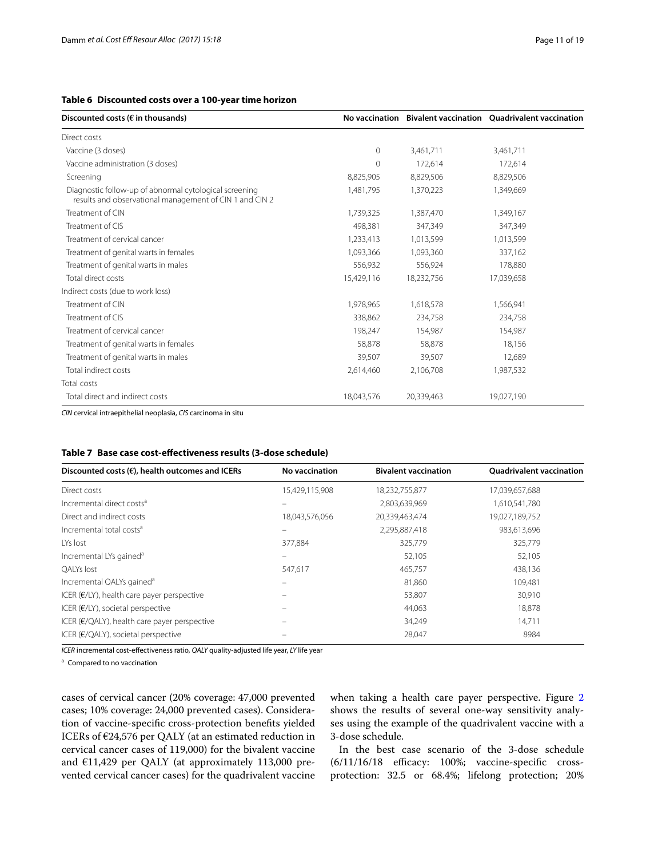## <span id="page-10-0"></span>**Table 6 Discounted costs over a 100-year time horizon**

| Discounted costs ( $\epsilon$ in thousands)                                                                       |              |            | No vaccination Bivalent vaccination Ouadrivalent vaccination |
|-------------------------------------------------------------------------------------------------------------------|--------------|------------|--------------------------------------------------------------|
| Direct costs                                                                                                      |              |            |                                                              |
| Vaccine (3 doses)                                                                                                 | $\mathbf{0}$ | 3,461,711  | 3,461,711                                                    |
| Vaccine administration (3 doses)                                                                                  | $\Omega$     | 172,614    | 172,614                                                      |
| Screening                                                                                                         | 8,825,905    | 8,829,506  | 8,829,506                                                    |
| Diagnostic follow-up of abnormal cytological screening<br>results and observational management of CIN 1 and CIN 2 | 1,481,795    | 1,370,223  | 1,349,669                                                    |
| Treatment of CIN                                                                                                  | 1,739,325    | 1,387,470  | 1,349,167                                                    |
| Treatment of CIS                                                                                                  | 498,381      | 347,349    | 347,349                                                      |
| Treatment of cervical cancer                                                                                      | 1,233,413    | 1,013,599  | 1,013,599                                                    |
| Treatment of genital warts in females                                                                             | 1,093,366    | 1,093,360  | 337,162                                                      |
| Treatment of genital warts in males                                                                               | 556,932      | 556,924    | 178,880                                                      |
| Total direct costs                                                                                                | 15,429,116   | 18,232,756 | 17,039,658                                                   |
| Indirect costs (due to work loss)                                                                                 |              |            |                                                              |
| Treatment of CIN                                                                                                  | 1,978,965    | 1,618,578  | 1,566,941                                                    |
| Treatment of CIS                                                                                                  | 338,862      | 234,758    | 234,758                                                      |
| Treatment of cervical cancer                                                                                      | 198,247      | 154,987    | 154,987                                                      |
| Treatment of genital warts in females                                                                             | 58,878       | 58,878     | 18,156                                                       |
| Treatment of genital warts in males                                                                               | 39,507       | 39,507     | 12,689                                                       |
| Total indirect costs                                                                                              | 2,614,460    | 2,106,708  | 1,987,532                                                    |
| Total costs                                                                                                       |              |            |                                                              |
| Total direct and indirect costs                                                                                   | 18,043,576   | 20,339,463 | 19,027,190                                                   |

*CIN* cervical intraepithelial neoplasia, *CIS* carcinoma in situ

## <span id="page-10-1"></span>**Table 7 Base case cost-efectiveness results (3-dose schedule)**

| Discounted costs $(\epsilon)$ , health outcomes and ICERs | No vaccination | <b>Bivalent vaccination</b> | <b>Ouadrivalent vaccination</b> |
|-----------------------------------------------------------|----------------|-----------------------------|---------------------------------|
| Direct costs                                              | 15,429,115,908 | 18,232,755,877              | 17,039,657,688                  |
| Incremental direct costs <sup>a</sup>                     |                | 2,803,639,969               | 1,610,541,780                   |
| Direct and indirect costs                                 | 18,043,576,056 | 20,339,463,474              | 19,027,189,752                  |
| Incremental total costs <sup>a</sup>                      |                | 2,295,887,418               | 983,613,696                     |
| LYs lost                                                  | 377,884        | 325,779                     | 325,779                         |
| Incremental LYs gained <sup>a</sup>                       |                | 52,105                      | 52,105                          |
| OALYs lost                                                | 547,617        | 465,757                     | 438,136                         |
| Incremental QALYs gained <sup>a</sup>                     |                | 81,860                      | 109,481                         |
| ICER ( $E/LY$ ), health care payer perspective            |                | 53,807                      | 30,910                          |
| ICER ( $E/LY$ ), societal perspective                     |                | 44,063                      | 18,878                          |
| ICER ( $E/QALY$ ), health care payer perspective          |                | 34,249                      | 14,711                          |
| ICER ( $E/QALY$ ), societal perspective                   |                | 28,047                      | 8984                            |

*ICER* incremental cost-efectiveness ratio, *QALY* quality-adjusted life year, *LY* life year

<sup>a</sup> Compared to no vaccination

cases of cervical cancer (20% coverage: 47,000 prevented cases; 10% coverage: 24,000 prevented cases). Consideration of vaccine-specifc cross-protection benefts yielded ICERs of €24,576 per QALY (at an estimated reduction in cervical cancer cases of 119,000) for the bivalent vaccine and €11,429 per QALY (at approximately 113,000 prevented cervical cancer cases) for the quadrivalent vaccine when taking a health care payer perspective. Figure [2](#page-11-0) shows the results of several one-way sensitivity analyses using the example of the quadrivalent vaccine with a 3-dose schedule.

In the best case scenario of the 3-dose schedule  $(6/11/16/18$  efficacy: 100%; vaccine-specific crossprotection: 32.5 or 68.4%; lifelong protection; 20%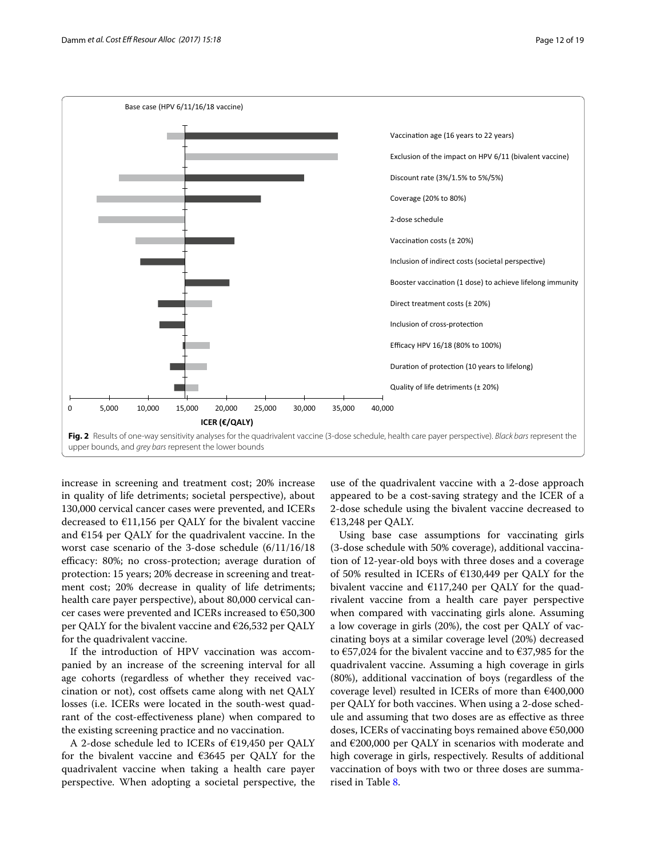

<span id="page-11-0"></span>**Fig. 2** Results of one-way sensitivity analyses for the quadrivalent vaccine (3-dose schedule, health care payer perspective). *Black bars* represent the upper bounds, and *grey bars* represent the lower bounds

increase in screening and treatment cost; 20% increase in quality of life detriments; societal perspective), about 130,000 cervical cancer cases were prevented, and ICERs decreased to  $E11,156$  per QALY for the bivalent vaccine and  $E154$  per QALY for the quadrivalent vaccine. In the worst case scenario of the 3-dose schedule (6/11/16/18 efficacy: 80%; no cross-protection; average duration of protection: 15 years; 20% decrease in screening and treatment cost; 20% decrease in quality of life detriments; health care payer perspective), about 80,000 cervical cancer cases were prevented and ICERs increased to €50,300 per QALY for the bivalent vaccine and €26,532 per QALY for the quadrivalent vaccine.

If the introduction of HPV vaccination was accompanied by an increase of the screening interval for all age cohorts (regardless of whether they received vaccination or not), cost offsets came along with net QALY losses (i.e. ICERs were located in the south-west quadrant of the cost-efectiveness plane) when compared to the existing screening practice and no vaccination.

A 2-dose schedule led to ICERs of €19,450 per QALY for the bivalent vaccine and €3645 per QALY for the quadrivalent vaccine when taking a health care payer perspective. When adopting a societal perspective, the

use of the quadrivalent vaccine with a 2-dose approach appeared to be a cost-saving strategy and the ICER of a 2-dose schedule using the bivalent vaccine decreased to €13,248 per QALY.

Using base case assumptions for vaccinating girls (3-dose schedule with 50% coverage), additional vaccination of 12-year-old boys with three doses and a coverage of 50% resulted in ICERs of €130,449 per QALY for the bivalent vaccine and  $£117,240$  per QALY for the quadrivalent vaccine from a health care payer perspective when compared with vaccinating girls alone. Assuming a low coverage in girls (20%), the cost per QALY of vaccinating boys at a similar coverage level (20%) decreased to  $\epsilon$ 57,024 for the bivalent vaccine and to  $\epsilon$ 37,985 for the quadrivalent vaccine. Assuming a high coverage in girls (80%), additional vaccination of boys (regardless of the coverage level) resulted in ICERs of more than €400,000 per QALY for both vaccines. When using a 2-dose schedule and assuming that two doses are as efective as three doses, ICERs of vaccinating boys remained above €50,000 and  $\epsilon$ 200,000 per QALY in scenarios with moderate and high coverage in girls, respectively. Results of additional vaccination of boys with two or three doses are summarised in Table [8](#page-12-0).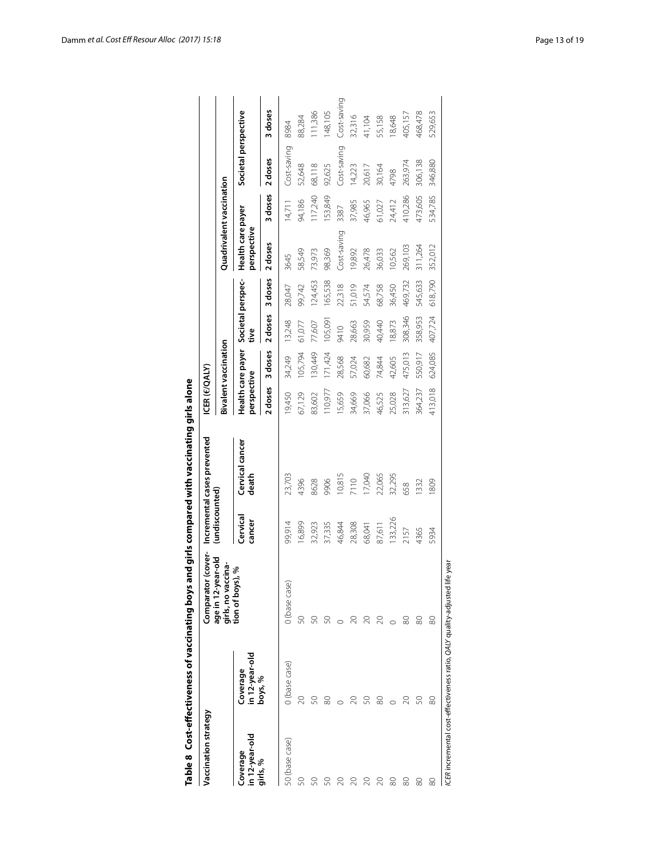|                            | Table 8 Cost-effectiveness of vaccinating boys                   |                                          |                    | and girls compared with vaccinating girls alone |                      |                             |                           |         |                                  |         |                      |             |
|----------------------------|------------------------------------------------------------------|------------------------------------------|--------------------|-------------------------------------------------|----------------------|-----------------------------|---------------------------|---------|----------------------------------|---------|----------------------|-------------|
| Vaccination strategy       |                                                                  | or (cover-<br>Comparat                   |                    | Incremental cases prevented                     | <b>ICER (E/QALY)</b> |                             |                           |         |                                  |         |                      |             |
|                            |                                                                  | age in 12-year-old<br>girls, no vaccina- | (undiscounted)     |                                                 |                      | <b>Bivalent vaccination</b> |                           |         | Quadrivalent vaccination         |         |                      |             |
| in 12-year-old<br>Coverage | in 12-year-old<br>Coverage                                       | tion of boys), %                         | Cervical<br>cancer | Cervical cancer<br>death                        | perspective          | Health care payer           | Societal perspec-<br>tive |         | Health care payer<br>perspective |         | Societal perspective |             |
| girls, %                   | boys, %                                                          |                                          |                    |                                                 | 2 doses              | 3 doses                     | 2 doses                   | 3 doses | 2 doses                          | 3 doses | 2 doses              | 3 doses     |
| 50 (base case)             | 0 (base case)                                                    | 0 (base case)                            | 99,914             | 23,703                                          | 9,450                | 34,249                      | 13,248                    | 28,047  | 3645                             | 14,711  | Cost-saving          | 8984        |
|                            | 20                                                               | S                                        | 16,899             | 4396                                            | 67,129               | 105,794                     | 61,077                    | 99,742  | 58,549                           | 94,186  | 52,648               | 88,284      |
|                            | Z                                                                |                                          | 32,923             | 8628                                            | 83,602               | 130,449                     | 77,607                    | 124,453 | 73,973                           | 117,240 | 68,118               | 111,386     |
|                            | 8                                                                | S                                        | 37,335             | 9066                                            | 110,977              | 171,424                     | 105,091                   | 165,538 | 98,369                           | 153,849 | 92,625               | 148,105     |
|                            |                                                                  |                                          | 46,844             | 10,815                                          | 15,659               | 28,568                      | 9410                      | 22,318  | Cost-saving                      | 3387    | Cost-saving          | Cost-saving |
|                            |                                                                  |                                          | 28,308             | 7110                                            | 34,669               | 57,024                      | 28,663                    | 51,019  | 19,892                           | 37,985  | 14,223               | 32,316      |
|                            | SO                                                               | 20                                       | 68,041             | 17,040                                          | 37,066               | 60,682                      | 30,959                    | 54,574  | 26,478                           | 46,965  | 20,617               | 41,104      |
|                            | 80                                                               | $\infty$                                 | 87,611             | 22,065                                          | 46,525               | 74,844                      | 40,440                    | 68,758  | 36,033                           | 61,027  | 30,164               | 55,158      |
| 80                         |                                                                  |                                          | 133,226            | 32,295                                          | 25,028               | 42,605                      | 18,873                    | 36,450  | 10,562                           | 24,412  | 4798                 | 18,648      |
| 80                         |                                                                  | 8                                        | 2157               | 658                                             | 313,627              | 475,013                     | 308,346                   | 469,732 | 269,103                          | 410,286 | 263,974              | 405,157     |
| 80                         | SO                                                               | 8                                        | 4365               | 1332                                            | 364,237              | 550,917                     | 358,953                   | 545,633 | 311,264                          | 473,605 | 306,138              | 468,478     |
| 80                         | 80                                                               | ಜ                                        | 5934               | 1809                                            | 413,018              | 624,085                     | 407,724                   | 618,790 | 352,012                          | 534,785 | 346,880              | 529,653     |
|                            | ICER incremental cost-effectiveness ratio, QALY quality-adjusted | life year                                |                    |                                                 |                      |                             |                           |         |                                  |         |                      |             |

<span id="page-12-0"></span>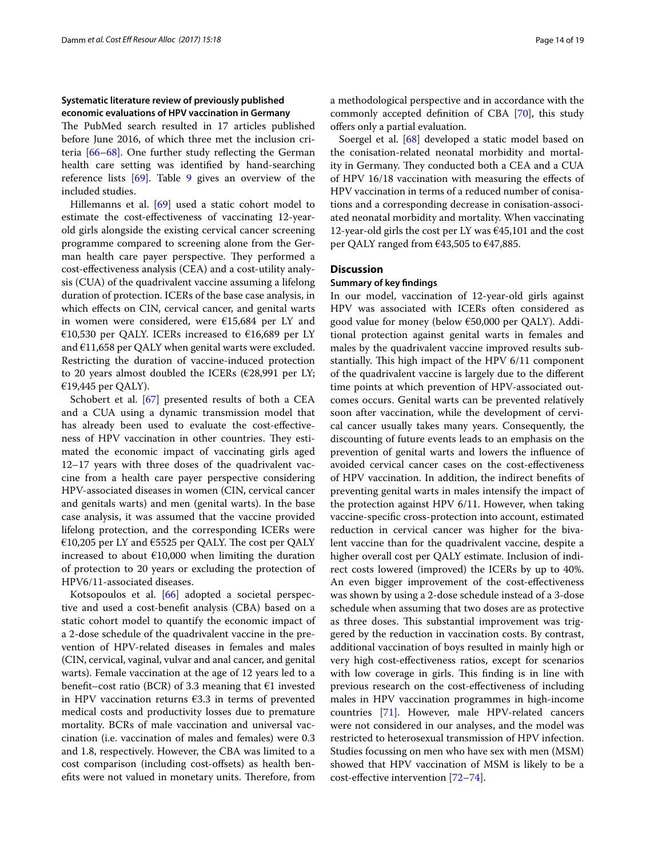## **Systematic literature review of previously published economic evaluations of HPV vaccination in Germany**

The PubMed search resulted in 17 articles published before June 2016, of which three met the inclusion criteria [\[66](#page-18-15)[–68\]](#page-18-16). One further study refecting the German health care setting was identifed by hand-searching reference lists [\[69\]](#page-18-17). Table [9](#page-14-0) gives an overview of the included studies.

Hillemanns et al. [\[69\]](#page-18-17) used a static cohort model to estimate the cost-efectiveness of vaccinating 12-yearold girls alongside the existing cervical cancer screening programme compared to screening alone from the German health care payer perspective. They performed a cost-efectiveness analysis (CEA) and a cost-utility analysis (CUA) of the quadrivalent vaccine assuming a lifelong duration of protection. ICERs of the base case analysis, in which efects on CIN, cervical cancer, and genital warts in women were considered, were €15,684 per LY and €10,530 per QALY. ICERs increased to €16,689 per LY and  $E11,658$  per QALY when genital warts were excluded. Restricting the duration of vaccine-induced protection to 20 years almost doubled the ICERs ( $E28,991$  per LY; €19,445 per QALY).

Schobert et al. [\[67](#page-18-18)] presented results of both a CEA and a CUA using a dynamic transmission model that has already been used to evaluate the cost-efectiveness of HPV vaccination in other countries. They estimated the economic impact of vaccinating girls aged 12–17 years with three doses of the quadrivalent vaccine from a health care payer perspective considering HPV-associated diseases in women (CIN, cervical cancer and genitals warts) and men (genital warts). In the base case analysis, it was assumed that the vaccine provided lifelong protection, and the corresponding ICERs were €10,205 per LY and €5525 per QALY. The cost per QALY increased to about  $£10,000$  when limiting the duration of protection to 20 years or excluding the protection of HPV6/11-associated diseases.

Kotsopoulos et al. [\[66](#page-18-15)] adopted a societal perspective and used a cost-beneft analysis (CBA) based on a static cohort model to quantify the economic impact of a 2-dose schedule of the quadrivalent vaccine in the prevention of HPV-related diseases in females and males (CIN, cervical, vaginal, vulvar and anal cancer, and genital warts). Female vaccination at the age of 12 years led to a benefit–cost ratio (BCR) of 3.3 meaning that  $\epsilon$ 1 invested in HPV vaccination returns  $€3.3$  in terms of prevented medical costs and productivity losses due to premature mortality. BCRs of male vaccination and universal vaccination (i.e. vaccination of males and females) were 0.3 and 1.8, respectively. However, the CBA was limited to a cost comparison (including cost-ofsets) as health benefits were not valued in monetary units. Therefore, from a methodological perspective and in accordance with the commonly accepted defnition of CBA [\[70](#page-18-19)], this study offers only a partial evaluation.

Soergel et al. [[68](#page-18-16)] developed a static model based on the conisation-related neonatal morbidity and mortality in Germany. They conducted both a CEA and a CUA of HPV 16/18 vaccination with measuring the efects of HPV vaccination in terms of a reduced number of conisations and a corresponding decrease in conisation-associated neonatal morbidity and mortality. When vaccinating 12-year-old girls the cost per LY was  $645,101$  and the cost per QALY ranged from €43,505 to €47,885.

## **Discussion**

#### **Summary of key fndings**

In our model, vaccination of 12-year-old girls against HPV was associated with ICERs often considered as good value for money (below  $\epsilon$ 50,000 per QALY). Additional protection against genital warts in females and males by the quadrivalent vaccine improved results substantially. This high impact of the HPV 6/11 component of the quadrivalent vaccine is largely due to the diferent time points at which prevention of HPV-associated outcomes occurs. Genital warts can be prevented relatively soon after vaccination, while the development of cervical cancer usually takes many years. Consequently, the discounting of future events leads to an emphasis on the prevention of genital warts and lowers the infuence of avoided cervical cancer cases on the cost-efectiveness of HPV vaccination. In addition, the indirect benefts of preventing genital warts in males intensify the impact of the protection against HPV 6/11. However, when taking vaccine-specifc cross-protection into account, estimated reduction in cervical cancer was higher for the bivalent vaccine than for the quadrivalent vaccine, despite a higher overall cost per QALY estimate. Inclusion of indirect costs lowered (improved) the ICERs by up to 40%. An even bigger improvement of the cost-efectiveness was shown by using a 2-dose schedule instead of a 3-dose schedule when assuming that two doses are as protective as three doses. This substantial improvement was triggered by the reduction in vaccination costs. By contrast, additional vaccination of boys resulted in mainly high or very high cost-efectiveness ratios, except for scenarios with low coverage in girls. This finding is in line with previous research on the cost-efectiveness of including males in HPV vaccination programmes in high-income countries [\[71](#page-18-20)]. However, male HPV-related cancers were not considered in our analyses, and the model was restricted to heterosexual transmission of HPV infection. Studies focussing on men who have sex with men (MSM) showed that HPV vaccination of MSM is likely to be a cost-efective intervention [\[72–](#page-18-21)[74\]](#page-18-22).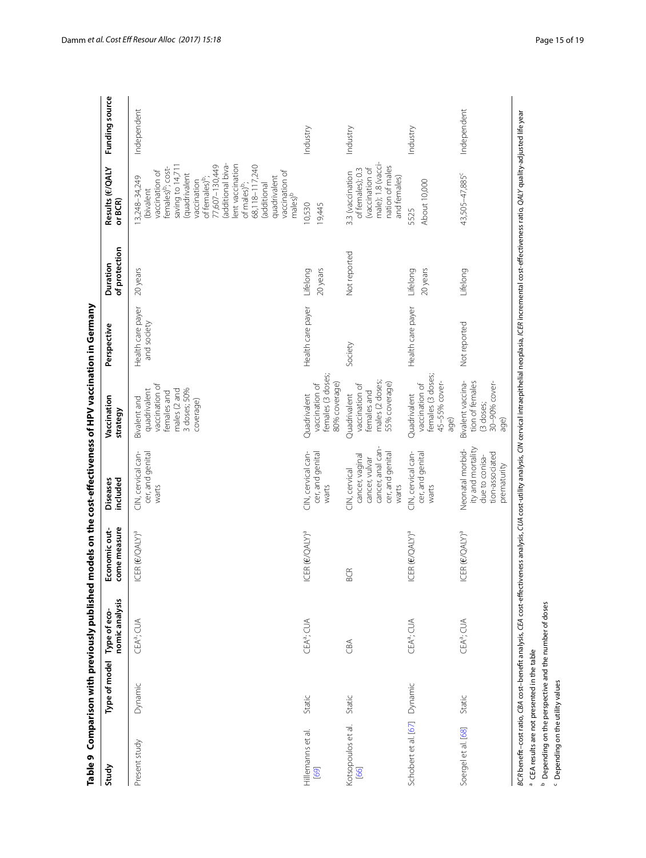| Study                        | Type of model | nomic analysis<br>Type of eco- | come measure<br>Economic out- | included<br><b>Diseases</b>                                                                          | Vaccination<br>strategy                                                                                    | Perspective                      | of protection<br>Duration | Results (E/QALY<br>or BCR)                                                                                                                                                                                                                                                                                                                      | Funding source |
|------------------------------|---------------|--------------------------------|-------------------------------|------------------------------------------------------------------------------------------------------|------------------------------------------------------------------------------------------------------------|----------------------------------|---------------------------|-------------------------------------------------------------------------------------------------------------------------------------------------------------------------------------------------------------------------------------------------------------------------------------------------------------------------------------------------|----------------|
| Present study                | Dynamic       | CEAª; CUA                      | ICER (E/QALY)ª                | CIN, cervical can-<br>cer, and genital<br>warts                                                      | vaccination of<br>3 doses; 50%<br>quadrivalent<br>males (2 and<br>females and<br>Bivalent and<br>coverage) | Health care payer<br>and society | 20 years                  | additional biva-<br>lent vaccination<br>77,607-130,449<br>68,118-117,240<br>saving to 14,711<br>females) <sup>b</sup> ; cost-<br>vaccination of<br>vaccination of<br>males) <sup>b</sup><br>(quadrivalent<br>quadrivalent<br>13,248-34,249<br>of females) <sup>b</sup> ;<br>vaccination<br>(additional<br>of males) <sup>b</sup> ;<br>(bivalent | Independent    |
| Hillemanns et al.<br>[69]    | Static        | CEA <sup>a</sup> ; CUA         | ICER (E/QALY) <sup>a</sup>    | CIN, cervical can-<br>cer, and genital<br>warts                                                      | females (3 doses;<br>80% coverage)<br>vaccination of<br>Quadrivalent                                       | Health care payer                | 20 years<br>Lifelong      | 10,530<br>19,445                                                                                                                                                                                                                                                                                                                                | Industry       |
| Kotsopoulos et al.<br>66     | Static        | CBA                            | <b>BCR</b>                    | cancer, anal can-<br>cer, and genital<br>cancer, vaginal<br>cancer, vulvar<br>CIN, cervical<br>warts | males (2 doses;<br>55% coverage)<br>vaccination of<br>females and<br>Quadrivalent                          | Society                          | Not reported              | male); 1.8 (vacci-<br>nation of males<br>of females); 0.3<br>(vaccination of<br>3.3 (vaccination<br>and females)                                                                                                                                                                                                                                | Industry       |
| Schobert et al. [67] Dynamic |               | CEA <sup>a</sup> ; CUA         | ICER (E/QALY) <sup>a</sup>    | CIN, cervical can-<br>cer, and genital<br>warts                                                      | females (3 doses;<br>45-55% cover-<br>vaccination of<br>Quadrivalent<br>age)                               | Health care payer                | 20 years<br>Lifelong      | About 10,000<br>5525                                                                                                                                                                                                                                                                                                                            | Industry       |
| Soergel et al. [68]          | Static        | CEAª; CUA                      | ICER (E/QALY) <sup>a</sup>    | ity and mortality<br>Neonatal morbid-<br>tion-associated<br>due to conisa-<br>prematurity            | Bivalent vaccina-<br>tion of females<br>30-90% cover-<br>(3 doses;<br>age)                                 | Not reported                     | Lifelong                  | 43,505-47,885 <sup>c</sup>                                                                                                                                                                                                                                                                                                                      | Independent    |

<span id="page-14-0"></span>

<sup>b</sup> Depending on the perspective and the number of doses <sup>b</sup> Depending on the perspective and the number of doses

<sup>c</sup> Depending on the utility values Depending on the utility values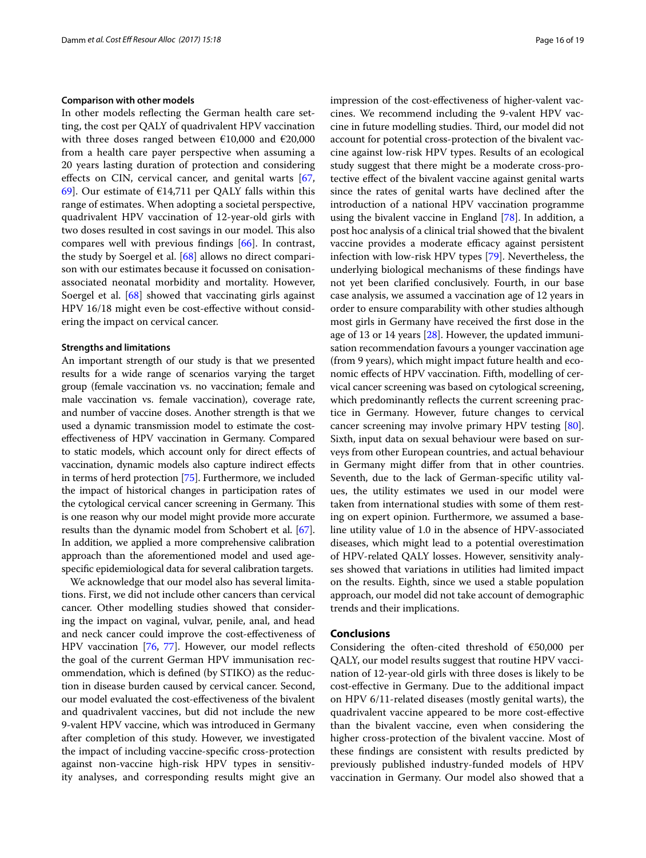#### **Comparison with other models**

In other models refecting the German health care setting, the cost per QALY of quadrivalent HPV vaccination with three doses ranged between  $\epsilon$ 10,000 and  $\epsilon$ 20,000 from a health care payer perspective when assuming a 20 years lasting duration of protection and considering efects on CIN, cervical cancer, and genital warts [\[67](#page-18-18), [69\]](#page-18-17). Our estimate of  $\epsilon$ 14,711 per QALY falls within this range of estimates. When adopting a societal perspective, quadrivalent HPV vaccination of 12-year-old girls with two doses resulted in cost savings in our model. This also compares well with previous fndings [\[66](#page-18-15)]. In contrast, the study by Soergel et al. [[68\]](#page-18-16) allows no direct comparison with our estimates because it focussed on conisationassociated neonatal morbidity and mortality. However, Soergel et al. [\[68](#page-18-16)] showed that vaccinating girls against HPV 16/18 might even be cost-efective without considering the impact on cervical cancer.

#### **Strengths and limitations**

An important strength of our study is that we presented results for a wide range of scenarios varying the target group (female vaccination vs. no vaccination; female and male vaccination vs. female vaccination), coverage rate, and number of vaccine doses. Another strength is that we used a dynamic transmission model to estimate the costefectiveness of HPV vaccination in Germany. Compared to static models, which account only for direct efects of vaccination, dynamic models also capture indirect efects in terms of herd protection [\[75\]](#page-18-23). Furthermore, we included the impact of historical changes in participation rates of the cytological cervical cancer screening in Germany. This is one reason why our model might provide more accurate results than the dynamic model from Schobert et al. [[67](#page-18-18)]. In addition, we applied a more comprehensive calibration approach than the aforementioned model and used agespecifc epidemiological data for several calibration targets.

We acknowledge that our model also has several limitations. First, we did not include other cancers than cervical cancer. Other modelling studies showed that considering the impact on vaginal, vulvar, penile, anal, and head and neck cancer could improve the cost-efectiveness of HPV vaccination [[76,](#page-18-24) [77\]](#page-18-25). However, our model refects the goal of the current German HPV immunisation recommendation, which is defned (by STIKO) as the reduction in disease burden caused by cervical cancer. Second, our model evaluated the cost-efectiveness of the bivalent and quadrivalent vaccines, but did not include the new 9-valent HPV vaccine, which was introduced in Germany after completion of this study. However, we investigated the impact of including vaccine-specifc cross-protection against non-vaccine high-risk HPV types in sensitivity analyses, and corresponding results might give an impression of the cost-efectiveness of higher-valent vaccines. We recommend including the 9-valent HPV vaccine in future modelling studies. Third, our model did not account for potential cross-protection of the bivalent vaccine against low-risk HPV types. Results of an ecological study suggest that there might be a moderate cross-protective effect of the bivalent vaccine against genital warts since the rates of genital warts have declined after the introduction of a national HPV vaccination programme using the bivalent vaccine in England [\[78\]](#page-18-26). In addition, a post hoc analysis of a clinical trial showed that the bivalent vaccine provides a moderate efficacy against persistent infection with low-risk HPV types [\[79](#page-18-27)]. Nevertheless, the underlying biological mechanisms of these fndings have not yet been clarifed conclusively. Fourth, in our base case analysis, we assumed a vaccination age of 12 years in order to ensure comparability with other studies although most girls in Germany have received the frst dose in the age of 13 or 14 years [[28](#page-17-32)]. However, the updated immunisation recommendation favours a younger vaccination age (from 9 years), which might impact future health and economic efects of HPV vaccination. Fifth, modelling of cervical cancer screening was based on cytological screening, which predominantly reflects the current screening practice in Germany. However, future changes to cervical cancer screening may involve primary HPV testing [\[80](#page-18-28)]. Sixth, input data on sexual behaviour were based on surveys from other European countries, and actual behaviour in Germany might difer from that in other countries. Seventh, due to the lack of German-specifc utility values, the utility estimates we used in our model were taken from international studies with some of them resting on expert opinion. Furthermore, we assumed a baseline utility value of 1.0 in the absence of HPV-associated diseases, which might lead to a potential overestimation of HPV-related QALY losses. However, sensitivity analyses showed that variations in utilities had limited impact on the results. Eighth, since we used a stable population approach, our model did not take account of demographic trends and their implications.

#### **Conclusions**

Considering the often-cited threshold of €50,000 per QALY, our model results suggest that routine HPV vaccination of 12-year-old girls with three doses is likely to be cost-efective in Germany. Due to the additional impact on HPV 6/11-related diseases (mostly genital warts), the quadrivalent vaccine appeared to be more cost-efective than the bivalent vaccine, even when considering the higher cross-protection of the bivalent vaccine. Most of these fndings are consistent with results predicted by previously published industry-funded models of HPV vaccination in Germany. Our model also showed that a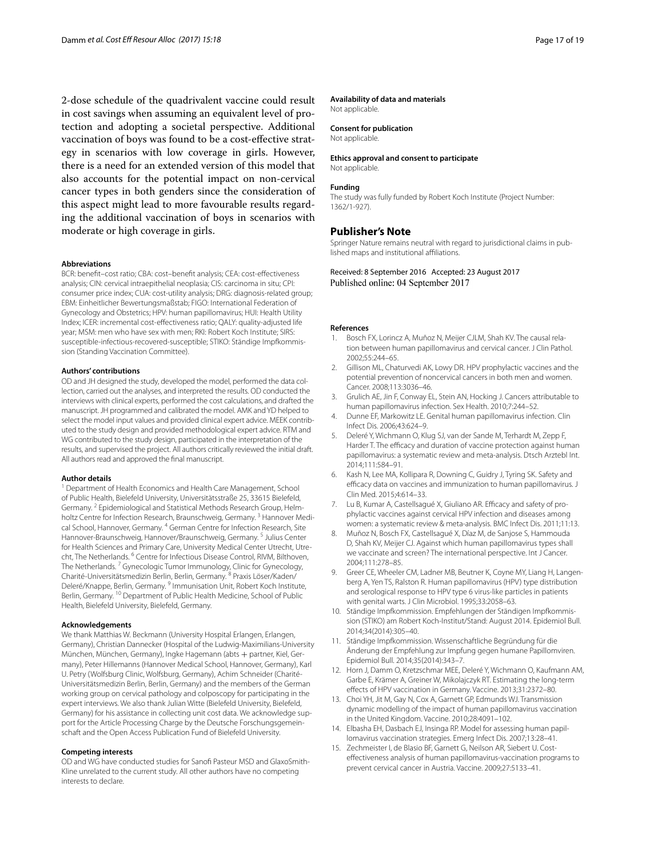2-dose schedule of the quadrivalent vaccine could result in cost savings when assuming an equivalent level of protection and adopting a societal perspective. Additional vaccination of boys was found to be a cost-efective strategy in scenarios with low coverage in girls. However, there is a need for an extended version of this model that also accounts for the potential impact on non-cervical cancer types in both genders since the consideration of this aspect might lead to more favourable results regarding the additional vaccination of boys in scenarios with moderate or high coverage in girls.

#### **Abbreviations**

BCR: beneft–cost ratio; CBA: cost–beneft analysis; CEA: cost-efectiveness analysis; CIN: cervical intraepithelial neoplasia; CIS: carcinoma in situ; CPI: consumer price index; CUA: cost-utility analysis; DRG: diagnosis-related group; EBM: Einheitlicher Bewertungsmaßstab; FIGO: International Federation of Gynecology and Obstetrics; HPV: human papillomavirus; HUI: Health Utility Index; ICER: incremental cost-efectiveness ratio; QALY: quality-adjusted life year; MSM: men who have sex with men; RKI: Robert Koch Institute; SIRS: susceptible-infectious-recovered-susceptible; STIKO: Ständige Impfkommission (Standing Vaccination Committee).

#### **Authors' contributions**

OD and JH designed the study, developed the model, performed the data collection, carried out the analyses, and interpreted the results. OD conducted the interviews with clinical experts, performed the cost calculations, and drafted the manuscript. JH programmed and calibrated the model. AMK and YD helped to select the model input values and provided clinical expert advice. MEEK contributed to the study design and provided methodological expert advice. RTM and WG contributed to the study design, participated in the interpretation of the results, and supervised the project. All authors critically reviewed the initial draft. All authors read and approved the fnal manuscript.

#### **Author details**

<sup>1</sup> Department of Health Economics and Health Care Management, School of Public Health, Bielefeld University, Universitätsstraße 25, 33615 Bielefeld, Germany. <sup>2</sup> Epidemiological and Statistical Methods Research Group, Helmholtz Centre for Infection Research, Braunschweig, Germany.<sup>3</sup> Hannover Medical School, Hannover, Germany. 4 German Centre for Infection Research, Site Hannover-Braunschweig, Hannover/Braunschweig, Germany. 5 Julius Center for Health Sciences and Primary Care, University Medical Center Utrecht, Utrecht, The Netherlands. <sup>6</sup> Centre for Infectious Disease Control, RIVM, Bilthoven, The Netherlands. 7 Gynecologic Tumor Immunology, Clinic for Gynecology, Charité-Universitätsmedizin Berlin, Berlin, Germany. 8 Praxis Löser/Kaden/ Deleré/Knappe, Berlin, Germany. 9 Immunisation Unit, Robert Koch Institute, Berlin, Germany. 10 Department of Public Health Medicine, School of Public Health, Bielefeld University, Bielefeld, Germany.

#### **Acknowledgements**

We thank Matthias W. Beckmann (University Hospital Erlangen, Erlangen, Germany), Christian Dannecker (Hospital of the Ludwig-Maximilians-University München, München, Germany), Ingke Hagemann (abts + partner, Kiel, Germany), Peter Hillemanns (Hannover Medical School, Hannover, Germany), Karl U. Petry (Wolfsburg Clinic, Wolfsburg, Germany), Achim Schneider (Charité-Universitätsmedizin Berlin, Berlin, Germany) and the members of the German working group on cervical pathology and colposcopy for participating in the expert interviews. We also thank Julian Witte (Bielefeld University, Bielefeld, Germany) for his assistance in collecting unit cost data. We acknowledge support for the Article Processing Charge by the Deutsche Forschungsgemeinschaft and the Open Access Publication Fund of Bielefeld University.

#### **Competing interests**

OD and WG have conducted studies for Sanof Pasteur MSD and GlaxoSmith-Kline unrelated to the current study. All other authors have no competing interests to declare.

#### **Availability of data and materials**

Not applicable.

#### **Consent for publication** Not applicable.

**Ethics approval and consent to participate**

Not applicable.

#### **Funding**

The study was fully funded by Robert Koch Institute (Project Number: 1362/1-927).

#### **Publisher's Note**

Springer Nature remains neutral with regard to jurisdictional claims in published maps and institutional afliations.

Received: 8 September 2016 Accepted: 23 August 2017 Published online: 04 September 2017

#### **References**

- <span id="page-16-0"></span>1. Bosch FX, Lorincz A, Muñoz N, Meijer CJLM, Shah KV. The causal relation between human papillomavirus and cervical cancer. J Clin Pathol. 2002;55:244–65.
- <span id="page-16-1"></span>2. Gillison ML, Chaturvedi AK, Lowy DR. HPV prophylactic vaccines and the potential prevention of noncervical cancers in both men and women. Cancer. 2008;113:3036–46.
- <span id="page-16-2"></span>3. Grulich AE, Jin F, Conway EL, Stein AN, Hocking J. Cancers attributable to human papillomavirus infection. Sex Health. 2010;7:244–52.
- <span id="page-16-3"></span>4. Dunne EF, Markowitz LE. Genital human papillomavirus infection. Clin Infect Dis. 2006;43:624–9.
- <span id="page-16-4"></span>5. Deleré Y, Wichmann O, Klug SJ, van der Sande M, Terhardt M, Zepp F, Harder T. The efficacy and duration of vaccine protection against human papillomavirus: a systematic review and meta-analysis. Dtsch Arztebl Int. 2014;111:584–91.
- 6. Kash N, Lee MA, Kollipara R, Downing C, Guidry J, Tyring SK. Safety and efficacy data on vaccines and immunization to human papillomavirus. J Clin Med. 2015;4:614–33.
- <span id="page-16-5"></span>7. Lu B, Kumar A, Castellsagué X, Giuliano AR. Efficacy and safety of prophylactic vaccines against cervical HPV infection and diseases among women: a systematic review & meta-analysis. BMC Infect Dis. 2011;11:13.
- <span id="page-16-6"></span>8. Muñoz N, Bosch FX, Castellsagué X, Díaz M, de Sanjose S, Hammouda D, Shah KV, Meijer CJ. Against which human papillomavirus types shall we vaccinate and screen? The international perspective. Int J Cancer. 2004;111:278–85.
- <span id="page-16-7"></span>9. Greer CE, Wheeler CM, Ladner MB, Beutner K, Coyne MY, Liang H, Langenberg A, Yen TS, Ralston R. Human papillomavirus (HPV) type distribution and serological response to HPV type 6 virus-like particles in patients with genital warts. J Clin Microbiol. 1995;33:2058–63.
- <span id="page-16-8"></span>10. Ständige Impfkommission. Empfehlungen der Ständigen Impfkommission (STIKO) am Robert Koch-Institut/Stand: August 2014. Epidemiol Bull. 2014;34(2014):305–40.
- <span id="page-16-9"></span>11. Ständige Impfkommission. Wissenschaftliche Begründung für die Änderung der Empfehlung zur Impfung gegen humane Papillomviren. Epidemiol Bull. 2014;35(2014):343–7.
- <span id="page-16-10"></span>12. Horn J, Damm O, Kretzschmar MEE, Deleré Y, Wichmann O, Kaufmann AM, Garbe E, Krämer A, Greiner W, Mikolajczyk RT. Estimating the long-term efects of HPV vaccination in Germany. Vaccine. 2013;31:2372–80.
- <span id="page-16-11"></span>13. Choi YH, Jit M, Gay N, Cox A, Garnett GP, Edmunds WJ. Transmission dynamic modelling of the impact of human papillomavirus vaccination in the United Kingdom. Vaccine. 2010;28:4091–102.
- <span id="page-16-12"></span>14. Elbasha EH, Dasbach EJ, Insinga RP. Model for assessing human papillomavirus vaccination strategies. Emerg Infect Dis. 2007;13:28–41.
- <span id="page-16-13"></span>15. Zechmeister I, de Blasio BF, Garnett G, Neilson AR, Siebert U. Costefectiveness analysis of human papillomavirus-vaccination programs to prevent cervical cancer in Austria. Vaccine. 2009;27:5133–41.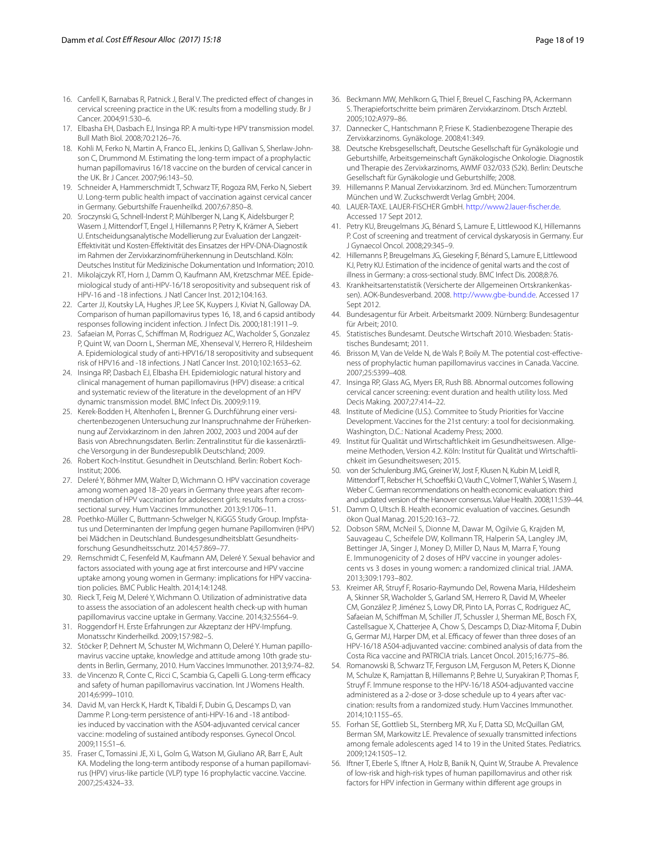- <span id="page-17-0"></span>16. Canfell K, Barnabas R, Patnick J, Beral V. The predicted effect of changes in cervical screening practice in the UK: results from a modelling study. Br J Cancer. 2004;91:530–6.
- 17. Elbasha EH, Dasbach EJ, Insinga RP. A multi-type HPV transmission model. Bull Math Biol. 2008;70:2126–76.
- <span id="page-17-7"></span>18. Kohli M, Ferko N, Martin A, Franco EL, Jenkins D, Gallivan S, Sherlaw-Johnson C, Drummond M. Estimating the long-term impact of a prophylactic human papillomavirus 16/18 vaccine on the burden of cervical cancer in the UK. Br J Cancer. 2007;96:143–50.
- <span id="page-17-8"></span>19. Schneider A, Hammerschmidt T, Schwarz TF, Rogoza RM, Ferko N, Siebert U. Long-term public health impact of vaccination against cervical cancer in Germany. Geburtshilfe Frauenheilkd. 2007;67:850–8.
- <span id="page-17-1"></span>20. Sroczynski G, Schnell-Inderst P, Mühlberger N, Lang K, Aidelsburger P, Wasem J, Mittendorf T, Engel J, Hillemanns P, Petry K, Krämer A, Siebert U. Entscheidungsanalytische Modellierung zur Evaluation der Langzeit-Efektivität und Kosten-Efektivität des Einsatzes der HPV-DNA-Diagnostik im Rahmen der Zervixkarzinomfrüherkennung in Deutschland. Köln: Deutsches Institut für Medizinische Dokumentation und Information; 2010.
- <span id="page-17-2"></span>21. Mikolajczyk RT, Horn J, Damm O, Kaufmann AM, Kretzschmar MEE. Epidemiological study of anti-HPV-16/18 seropositivity and subsequent risk of HPV-16 and -18 infections. J Natl Cancer Inst. 2012;104:163.
- <span id="page-17-3"></span>22. Carter JJ, Koutsky LA, Hughes JP, Lee SK, Kuypers J, Kiviat N, Galloway DA. Comparison of human papillomavirus types 16, 18, and 6 capsid antibody responses following incident infection. J Infect Dis. 2000;181:1911–9.
- <span id="page-17-4"></span>23. Safaeian M, Porras C, Schifman M, Rodriguez AC, Wacholder S, Gonzalez P, Quint W, van Doorn L, Sherman ME, Xhenseval V, Herrero R, Hildesheim A. Epidemiological study of anti-HPV16/18 seropositivity and subsequent risk of HPV16 and -18 infections. J Natl Cancer Inst. 2010;102:1653–62.
- <span id="page-17-5"></span>24. Insinga RP, Dasbach EJ, Elbasha EH. Epidemiologic natural history and clinical management of human papillomavirus (HPV) disease: a critical and systematic review of the literature in the development of an HPV dynamic transmission model. BMC Infect Dis. 2009;9:119.
- <span id="page-17-6"></span>25. Kerek-Bodden H, Altenhofen L, Brenner G. Durchführung einer versichertenbezogenen Untersuchung zur Inanspruchnahme der Früherkennung auf Zervixkarzinom in den Jahren 2002, 2003 und 2004 auf der Basis von Abrechnungsdaten. Berlin: Zentralinstitut für die kassenärztliche Versorgung in der Bundesrepublik Deutschland; 2009.
- <span id="page-17-9"></span>26. Robert Koch-Institut. Gesundheit in Deutschland. Berlin: Robert Koch-Institut; 2006.
- <span id="page-17-10"></span>27. Deleré Y, Böhmer MM, Walter D, Wichmann O. HPV vaccination coverage among women aged 18–20 years in Germany three years after recommendation of HPV vaccination for adolescent girls: results from a crosssectional survey. Hum Vaccines Immunother. 2013;9:1706–11.
- <span id="page-17-32"></span>28. Poethko-Müller C, Buttmann-Schwelger N, KiGGS Study Group. Impfstatus und Determinanten der Impfung gegen humane Papillomviren (HPV) bei Mädchen in Deutschland. Bundesgesundheitsblatt Gesundheitsforschung Gesundheitsschutz. 2014;57:869–77.
- 29. Remschmidt C, Fesenfeld M, Kaufmann AM, Deleré Y. Sexual behavior and factors associated with young age at frst intercourse and HPV vaccine uptake among young women in Germany: implications for HPV vaccination policies. BMC Public Health. 2014;14:1248.
- 30. Rieck T, Feig M, Deleré Y, Wichmann O. Utilization of administrative data to assess the association of an adolescent health check-up with human papillomavirus vaccine uptake in Germany. Vaccine. 2014;32:5564–9.
- 31. Roggendorf H. Erste Erfahrungen zur Akzeptanz der HPV-Impfung. Monatsschr Kinderheilkd. 2009;157:982–5.
- <span id="page-17-11"></span>32. Stöcker P, Dehnert M, Schuster M, Wichmann O, Deleré Y. Human papillomavirus vaccine uptake, knowledge and attitude among 10th grade students in Berlin, Germany, 2010. Hum Vaccines Immunother. 2013;9:74–82.
- <span id="page-17-12"></span>33. de Vincenzo R, Conte C, Ricci C, Scambia G, Capelli G. Long-term efficacy and safety of human papillomavirus vaccination. Int J Womens Health. 2014;6:999–1010.
- <span id="page-17-13"></span>34. David M, van Herck K, Hardt K, Tibaldi F, Dubin G, Descamps D, van Damme P. Long-term persistence of anti-HPV-16 and -18 antibodies induced by vaccination with the AS04-adjuvanted cervical cancer vaccine: modeling of sustained antibody responses. Gynecol Oncol. 2009;115:S1–6.
- <span id="page-17-14"></span>35. Fraser C, Tomassini JE, Xi L, Golm G, Watson M, Giuliano AR, Barr E, Ault KA. Modeling the long-term antibody response of a human papillomavirus (HPV) virus-like particle (VLP) type 16 prophylactic vaccine. Vaccine. 2007;25:4324–33.
- <span id="page-17-15"></span>36. Beckmann MW, Mehlkorn G, Thiel F, Breuel C, Fasching PA, Ackermann S. Therapiefortschritte beim primären Zervixkarzinom. Dtsch Arztebl. 2005;102:A979–86.
- 37. Dannecker C, Hantschmann P, Friese K. Stadienbezogene Therapie des Zervixkarzinoms. Gynäkologe. 2008;41:349.
- 38. Deutsche Krebsgesellschaft, Deutsche Gesellschaft für Gynäkologie und Geburtshilfe, Arbeitsgemeinschaft Gynäkologische Onkologie. Diagnostik und Therapie des Zervixkarzinoms, AWMF 032/033 (S2k). Berlin: Deutsche Gesellschaft für Gynäkologie und Geburtshilfe; 2008.
- <span id="page-17-16"></span>39. Hillemanns P. Manual Zervixkarzinom. 3rd ed. München: Tumorzentrum München und W. Zuckschwerdt Verlag GmbH; 2004.
- <span id="page-17-17"></span>40. LAUER-TAXE. LAUER-FISCHER GmbH. [http://www2.lauer-fscher.de.](http://www2.lauer-fischer.de) Accessed 17 Sept 2012.
- <span id="page-17-18"></span>41. Petry KU, Breugelmans JG, Bénard S, Lamure E, Littlewood KJ, Hillemanns P. Cost of screening and treatment of cervical dyskaryosis in Germany. Eur J Gynaecol Oncol. 2008;29:345–9.
- <span id="page-17-19"></span>42. Hillemanns P, Breugelmans JG, Gieseking F, Bénard S, Lamure E, Littlewood KJ, Petry KU. Estimation of the incidence of genital warts and the cost of illness in Germany: a cross-sectional study. BMC Infect Dis. 2008;8:76.
- <span id="page-17-20"></span>43. Krankheitsartenstatistik (Versicherte der Allgemeinen Ortskrankenkassen). AOK-Bundesverband. 2008. <http://www.gbe-bund.de>. Accessed 17 Sept 2012.
- <span id="page-17-21"></span>44. Bundesagentur für Arbeit. Arbeitsmarkt 2009. Nürnberg: Bundesagentur für Arbeit; 2010.
- <span id="page-17-22"></span>45. Statistisches Bundesamt. Deutsche Wirtschaft 2010. Wiesbaden: Statistisches Bundesamt; 2011.
- <span id="page-17-23"></span>46. Brisson M, Van de Velde N, de Wals P, Boily M. The potential cost-efectiveness of prophylactic human papillomavirus vaccines in Canada. Vaccine. 2007;25:5399–408.
- <span id="page-17-24"></span>47. Insinga RP, Glass AG, Myers ER, Rush BB. Abnormal outcomes following cervical cancer screening: event duration and health utility loss. Med Decis Making. 2007;27:414–22.
- <span id="page-17-25"></span>48. Institute of Medicine (U.S.). Commitee to Study Priorities for Vaccine Development. Vaccines for the 21st century: a tool for decisionmaking. Washington, D.C.: National Academy Press; 2000.
- <span id="page-17-26"></span>49. Institut für Qualität und Wirtschaftlichkeit im Gesundheitswesen. Allgemeine Methoden, Version 4.2. Köln: Institut für Qualität und Wirtschaftlichkeit im Gesundheitswesen; 2015.
- <span id="page-17-27"></span>50. von der Schulenburg JMG, Greiner W, Jost F, Klusen N, Kubin M, Leidl R, Mittendorf T, Rebscher H, Schoeffski O, Vauth C, Volmer T, Wahler S, Wasem J, Weber C. German recommendations on health economic evaluation: third and updated version of the Hanover consensus. Value Health. 2008;11:539–44.
- <span id="page-17-28"></span>51. Damm O, Ultsch B. Health economic evaluation of vaccines. Gesundh ökon Qual Manag. 2015;20:163–72.
- <span id="page-17-29"></span>52. Dobson SRM, McNeil S, Dionne M, Dawar M, Ogilvie G, Krajden M, Sauvageau C, Scheifele DW, Kollmann TR, Halperin SA, Langley JM, Bettinger JA, Singer J, Money D, Miller D, Naus M, Marra F, Young E. Immunogenicity of 2 doses of HPV vaccine in younger adolescents vs 3 doses in young women: a randomized clinical trial. JAMA. 2013;309:1793–802.
- 53. Kreimer AR, Struyf F, Rosario-Raymundo Del, Rowena Maria, Hildesheim A, Skinner SR, Wacholder S, Garland SM, Herrero R, David M, Wheeler CM, González P, Jiménez S, Lowy DR, Pinto LA, Porras C, Rodriguez AC, Safaeian M, Schifman M, Schiller JT, Schussler J, Sherman ME, Bosch FX, Castellsague X, Chatterjee A, Chow S, Descamps D, Diaz-Mitoma F, Dubin G, Germar MJ, Harper DM, et al. Efficacy of fewer than three doses of an HPV-16/18 AS04-adjuvanted vaccine: combined analysis of data from the Costa Rica vaccine and PATRICIA trials. Lancet Oncol. 2015;16:775–86.
- <span id="page-17-30"></span>54. Romanowski B, Schwarz TF, Ferguson LM, Ferguson M, Peters K, Dionne M, Schulze K, Ramjattan B, Hillemanns P, Behre U, Suryakiran P, Thomas F, Struyf F. Immune response to the HPV-16/18 AS04-adjuvanted vaccine administered as a 2-dose or 3-dose schedule up to 4 years after vaccination: results from a randomized study. Hum Vaccines Immunother. 2014;10:1155–65.
- <span id="page-17-31"></span>55. Forhan SE, Gottlieb SL, Sternberg MR, Xu F, Datta SD, McQuillan GM, Berman SM, Markowitz LE. Prevalence of sexually transmitted infections among female adolescents aged 14 to 19 in the United States. Pediatrics. 2009;124:1505–12.
- 56. Iftner T, Eberle S, Iftner A, Holz B, Banik N, Quint W, Straube A. Prevalence of low-risk and high-risk types of human papillomavirus and other risk factors for HPV infection in Germany within diferent age groups in